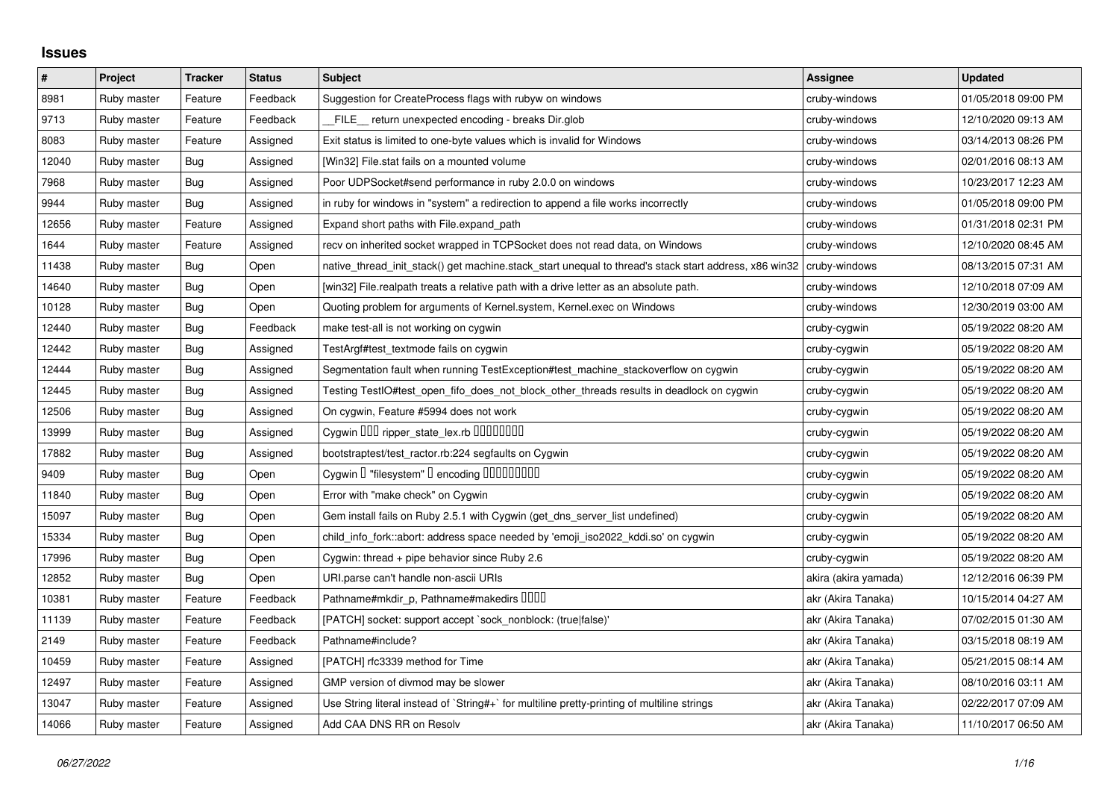## **Issues**

| $\vert$ # | Project     | <b>Tracker</b> | <b>Status</b> | <b>Subject</b>                                                                                        | <b>Assignee</b>      | <b>Updated</b>      |
|-----------|-------------|----------------|---------------|-------------------------------------------------------------------------------------------------------|----------------------|---------------------|
| 8981      | Ruby master | Feature        | Feedback      | Suggestion for CreateProcess flags with rubyw on windows                                              | cruby-windows        | 01/05/2018 09:00 PM |
| 9713      | Ruby master | Feature        | Feedback      | FILE_return unexpected encoding - breaks Dir.glob                                                     | cruby-windows        | 12/10/2020 09:13 AM |
| 8083      | Ruby master | Feature        | Assigned      | Exit status is limited to one-byte values which is invalid for Windows                                | cruby-windows        | 03/14/2013 08:26 PM |
| 12040     | Ruby master | Bug            | Assigned      | [Win32] File.stat fails on a mounted volume                                                           | cruby-windows        | 02/01/2016 08:13 AM |
| 7968      | Ruby master | <b>Bug</b>     | Assigned      | Poor UDPSocket#send performance in ruby 2.0.0 on windows                                              | cruby-windows        | 10/23/2017 12:23 AM |
| 9944      | Ruby master | Bug            | Assigned      | in ruby for windows in "system" a redirection to append a file works incorrectly                      | cruby-windows        | 01/05/2018 09:00 PM |
| 12656     | Ruby master | Feature        | Assigned      | Expand short paths with File.expand path                                                              | cruby-windows        | 01/31/2018 02:31 PM |
| 1644      | Ruby master | Feature        | Assigned      | recv on inherited socket wrapped in TCPSocket does not read data, on Windows                          | cruby-windows        | 12/10/2020 08:45 AM |
| 11438     | Ruby master | Bug            | Open          | native_thread_init_stack() get machine.stack_start unequal to thread's stack start address, x86 win32 | cruby-windows        | 08/13/2015 07:31 AM |
| 14640     | Ruby master | Bug            | Open          | [win32] File.realpath treats a relative path with a drive letter as an absolute path.                 | cruby-windows        | 12/10/2018 07:09 AM |
| 10128     | Ruby master | Bug            | Open          | Quoting problem for arguments of Kernel.system, Kernel.exec on Windows                                | cruby-windows        | 12/30/2019 03:00 AM |
| 12440     | Ruby master | <b>Bug</b>     | Feedback      | make test-all is not working on cygwin                                                                | cruby-cygwin         | 05/19/2022 08:20 AM |
| 12442     | Ruby master | <b>Bug</b>     | Assigned      | TestArgf#test_textmode fails on cygwin                                                                | cruby-cygwin         | 05/19/2022 08:20 AM |
| 12444     | Ruby master | Bug            | Assigned      | Segmentation fault when running TestException#test machine stackoverflow on cygwin                    | cruby-cygwin         | 05/19/2022 08:20 AM |
| 12445     | Ruby master | <b>Bug</b>     | Assigned      | Testing TestIO#test_open_fifo_does_not_block_other_threads results in deadlock on cygwin              | cruby-cygwin         | 05/19/2022 08:20 AM |
| 12506     | Ruby master | Bug            | Assigned      | On cygwin, Feature #5994 does not work                                                                | cruby-cygwin         | 05/19/2022 08:20 AM |
| 13999     | Ruby master | Bug            | Assigned      | Cygwin DDD ripper_state_lex.rb DDDDDDDD                                                               | cruby-cygwin         | 05/19/2022 08:20 AM |
| 17882     | Ruby master | <b>Bug</b>     | Assigned      | bootstraptest/test_ractor.rb:224 segfaults on Cygwin                                                  | cruby-cygwin         | 05/19/2022 08:20 AM |
| 9409      | Ruby master | <b>Bug</b>     | Open          | Cygwin I "filesystem" I encoding IIIIIIIIIIII                                                         | cruby-cygwin         | 05/19/2022 08:20 AM |
| 11840     | Ruby master | Bug            | Open          | Error with "make check" on Cygwin                                                                     | cruby-cygwin         | 05/19/2022 08:20 AM |
| 15097     | Ruby master | <b>Bug</b>     | Open          | Gem install fails on Ruby 2.5.1 with Cygwin (get_dns_server_list undefined)                           | cruby-cygwin         | 05/19/2022 08:20 AM |
| 15334     | Ruby master | <b>Bug</b>     | Open          | child_info_fork::abort: address space needed by 'emoji_iso2022_kddi.so' on cygwin                     | cruby-cygwin         | 05/19/2022 08:20 AM |
| 17996     | Ruby master | Bug            | Open          | Cygwin: thread + pipe behavior since Ruby 2.6                                                         | cruby-cygwin         | 05/19/2022 08:20 AM |
| 12852     | Ruby master | Bug            | Open          | URI.parse can't handle non-ascii URIs                                                                 | akira (akira yamada) | 12/12/2016 06:39 PM |
| 10381     | Ruby master | Feature        | Feedback      | Pathname#mkdir_p, Pathname#makedirs DDDD                                                              | akr (Akira Tanaka)   | 10/15/2014 04:27 AM |
| 11139     | Ruby master | Feature        | Feedback      | [PATCH] socket: support accept `sock_nonblock: (true false)'                                          | akr (Akira Tanaka)   | 07/02/2015 01:30 AM |
| 2149      | Ruby master | Feature        | Feedback      | Pathname#include?                                                                                     | akr (Akira Tanaka)   | 03/15/2018 08:19 AM |
| 10459     | Ruby master | Feature        | Assigned      | [PATCH] rfc3339 method for Time                                                                       | akr (Akira Tanaka)   | 05/21/2015 08:14 AM |
| 12497     | Ruby master | Feature        | Assigned      | GMP version of divmod may be slower                                                                   | akr (Akira Tanaka)   | 08/10/2016 03:11 AM |
| 13047     | Ruby master | Feature        | Assigned      | Use String literal instead of `String#+` for multiline pretty-printing of multiline strings           | akr (Akira Tanaka)   | 02/22/2017 07:09 AM |
| 14066     | Ruby master | Feature        | Assigned      | Add CAA DNS RR on Resolv                                                                              | akr (Akira Tanaka)   | 11/10/2017 06:50 AM |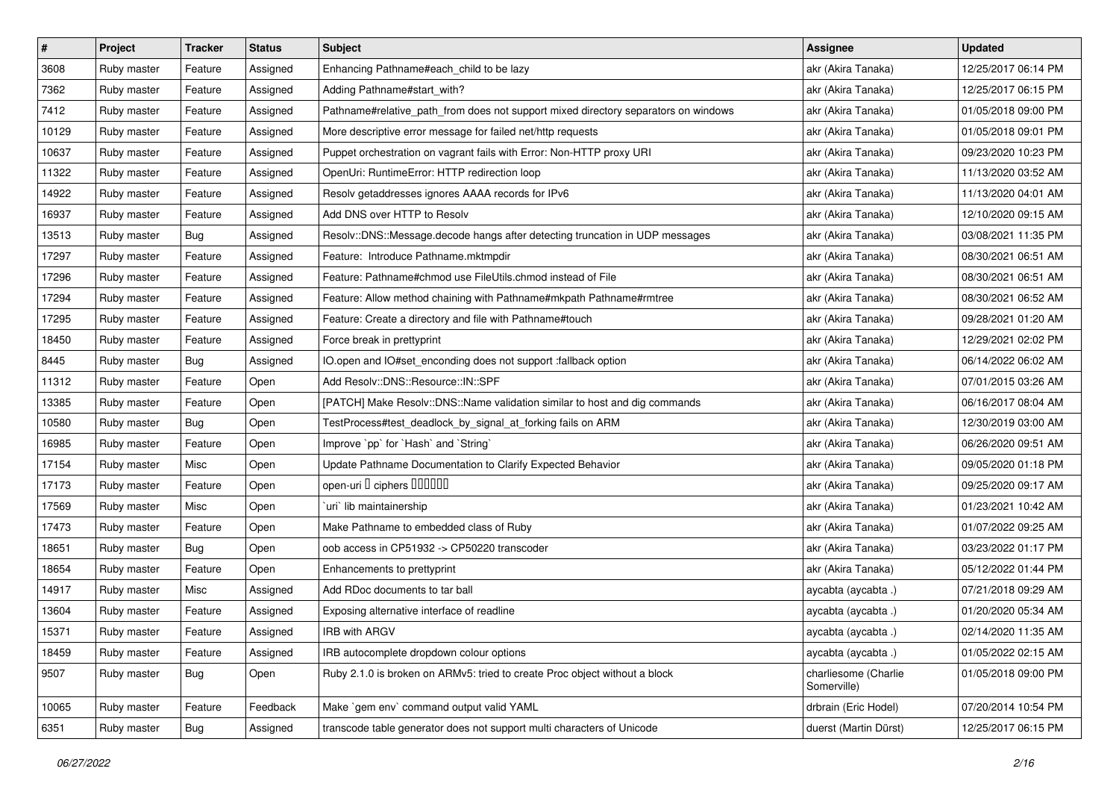| $\pmb{\#}$ | Project     | <b>Tracker</b> | <b>Status</b> | <b>Subject</b>                                                                     | <b>Assignee</b>                     | <b>Updated</b>      |
|------------|-------------|----------------|---------------|------------------------------------------------------------------------------------|-------------------------------------|---------------------|
| 3608       | Ruby master | Feature        | Assigned      | Enhancing Pathname#each_child to be lazy                                           | akr (Akira Tanaka)                  | 12/25/2017 06:14 PM |
| 7362       | Ruby master | Feature        | Assigned      | Adding Pathname#start_with?                                                        | akr (Akira Tanaka)                  | 12/25/2017 06:15 PM |
| 7412       | Ruby master | Feature        | Assigned      | Pathname#relative_path_from does not support mixed directory separators on windows | akr (Akira Tanaka)                  | 01/05/2018 09:00 PM |
| 10129      | Ruby master | Feature        | Assigned      | More descriptive error message for failed net/http requests                        | akr (Akira Tanaka)                  | 01/05/2018 09:01 PM |
| 10637      | Ruby master | Feature        | Assigned      | Puppet orchestration on vagrant fails with Error: Non-HTTP proxy URI               | akr (Akira Tanaka)                  | 09/23/2020 10:23 PM |
| 11322      | Ruby master | Feature        | Assigned      | OpenUri: RuntimeError: HTTP redirection loop                                       | akr (Akira Tanaka)                  | 11/13/2020 03:52 AM |
| 14922      | Ruby master | Feature        | Assigned      | Resolv getaddresses ignores AAAA records for IPv6                                  | akr (Akira Tanaka)                  | 11/13/2020 04:01 AM |
| 16937      | Ruby master | Feature        | Assigned      | Add DNS over HTTP to Resolv                                                        | akr (Akira Tanaka)                  | 12/10/2020 09:15 AM |
| 13513      | Ruby master | <b>Bug</b>     | Assigned      | Resolv::DNS::Message.decode hangs after detecting truncation in UDP messages       | akr (Akira Tanaka)                  | 03/08/2021 11:35 PM |
| 17297      | Ruby master | Feature        | Assigned      | Feature: Introduce Pathname.mktmpdir                                               | akr (Akira Tanaka)                  | 08/30/2021 06:51 AM |
| 17296      | Ruby master | Feature        | Assigned      | Feature: Pathname#chmod use FileUtils.chmod instead of File                        | akr (Akira Tanaka)                  | 08/30/2021 06:51 AM |
| 17294      | Ruby master | Feature        | Assigned      | Feature: Allow method chaining with Pathname#mkpath Pathname#rmtree                | akr (Akira Tanaka)                  | 08/30/2021 06:52 AM |
| 17295      | Ruby master | Feature        | Assigned      | Feature: Create a directory and file with Pathname#touch                           | akr (Akira Tanaka)                  | 09/28/2021 01:20 AM |
| 18450      | Ruby master | Feature        | Assigned      | Force break in prettyprint                                                         | akr (Akira Tanaka)                  | 12/29/2021 02:02 PM |
| 8445       | Ruby master | Bug            | Assigned      | IO.open and IO#set_enconding does not support :fallback option                     | akr (Akira Tanaka)                  | 06/14/2022 06:02 AM |
| 11312      | Ruby master | Feature        | Open          | Add Resolv::DNS::Resource::IN::SPF                                                 | akr (Akira Tanaka)                  | 07/01/2015 03:26 AM |
| 13385      | Ruby master | Feature        | Open          | [PATCH] Make Resolv::DNS::Name validation similar to host and dig commands         | akr (Akira Tanaka)                  | 06/16/2017 08:04 AM |
| 10580      | Ruby master | <b>Bug</b>     | Open          | TestProcess#test_deadlock_by_signal_at_forking fails on ARM                        | akr (Akira Tanaka)                  | 12/30/2019 03:00 AM |
| 16985      | Ruby master | Feature        | Open          | Improve `pp` for `Hash` and `String`                                               | akr (Akira Tanaka)                  | 06/26/2020 09:51 AM |
| 17154      | Ruby master | Misc           | Open          | Update Pathname Documentation to Clarify Expected Behavior                         | akr (Akira Tanaka)                  | 09/05/2020 01:18 PM |
| 17173      | Ruby master | Feature        | Open          | open-uri I ciphers IIIIIII                                                         | akr (Akira Tanaka)                  | 09/25/2020 09:17 AM |
| 17569      | Ruby master | Misc           | Open          | 'uri' lib maintainership                                                           | akr (Akira Tanaka)                  | 01/23/2021 10:42 AM |
| 17473      | Ruby master | Feature        | Open          | Make Pathname to embedded class of Ruby                                            | akr (Akira Tanaka)                  | 01/07/2022 09:25 AM |
| 18651      | Ruby master | <b>Bug</b>     | Open          | oob access in CP51932 -> CP50220 transcoder                                        | akr (Akira Tanaka)                  | 03/23/2022 01:17 PM |
| 18654      | Ruby master | Feature        | Open          | Enhancements to prettyprint                                                        | akr (Akira Tanaka)                  | 05/12/2022 01:44 PM |
| 14917      | Ruby master | Misc           | Assigned      | Add RDoc documents to tar ball                                                     | aycabta (aycabta .)                 | 07/21/2018 09:29 AM |
| 13604      | Ruby master | Feature        | Assigned      | Exposing alternative interface of readline                                         | aycabta (aycabta .)                 | 01/20/2020 05:34 AM |
| 15371      | Ruby master | Feature        | Assigned      | IRB with ARGV                                                                      | aycabta (aycabta .)                 | 02/14/2020 11:35 AM |
| 18459      | Ruby master | Feature        | Assigned      | IRB autocomplete dropdown colour options                                           | aycabta (aycabta .)                 | 01/05/2022 02:15 AM |
| 9507       | Ruby master | Bug            | Open          | Ruby 2.1.0 is broken on ARMv5: tried to create Proc object without a block         | charliesome (Charlie<br>Somerville) | 01/05/2018 09:00 PM |
| 10065      | Ruby master | Feature        | Feedback      | Make `gem env` command output valid YAML                                           | drbrain (Eric Hodel)                | 07/20/2014 10:54 PM |
| 6351       | Ruby master | <b>Bug</b>     | Assigned      | transcode table generator does not support multi characters of Unicode             | duerst (Martin Dürst)               | 12/25/2017 06:15 PM |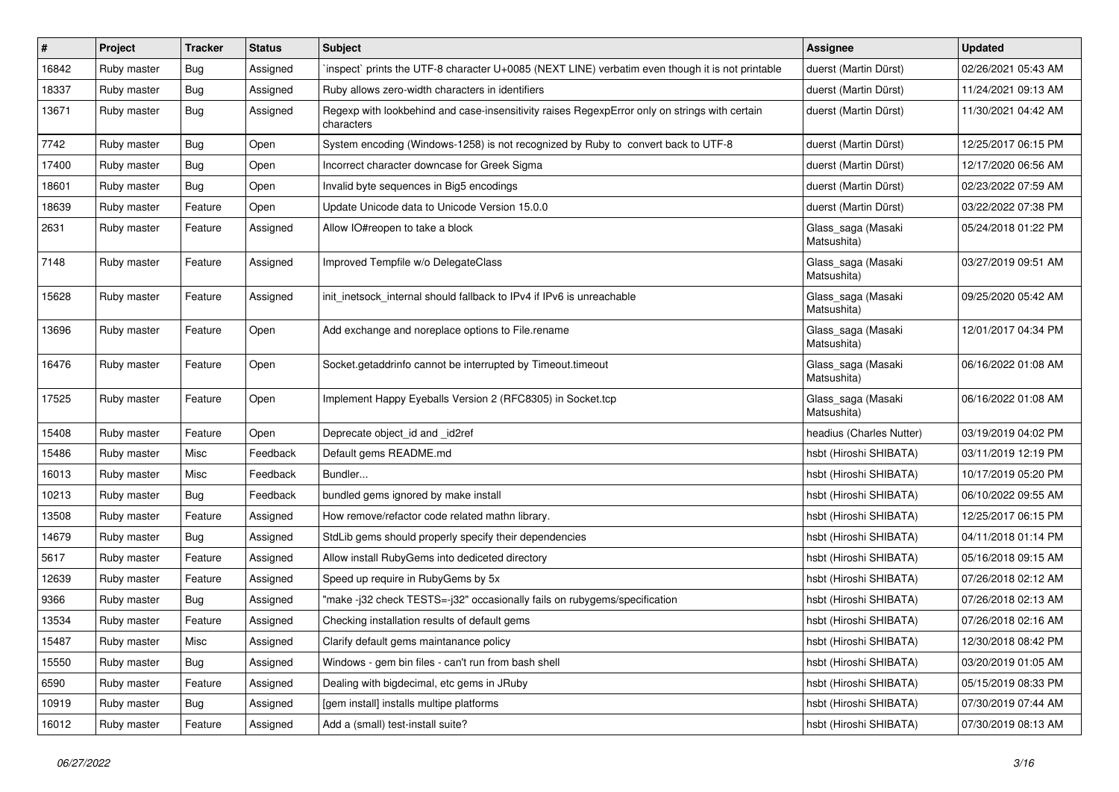| #     | Project     | <b>Tracker</b> | <b>Status</b> | <b>Subject</b>                                                                                              | <b>Assignee</b>                   | <b>Updated</b>      |
|-------|-------------|----------------|---------------|-------------------------------------------------------------------------------------------------------------|-----------------------------------|---------------------|
| 16842 | Ruby master | <b>Bug</b>     | Assigned      | inspect prints the UTF-8 character U+0085 (NEXT LINE) verbatim even though it is not printable              | duerst (Martin Dürst)             | 02/26/2021 05:43 AM |
| 18337 | Ruby master | Bug            | Assigned      | Ruby allows zero-width characters in identifiers                                                            | duerst (Martin Dürst)             | 11/24/2021 09:13 AM |
| 13671 | Ruby master | Bug            | Assigned      | Regexp with lookbehind and case-insensitivity raises RegexpError only on strings with certain<br>characters | duerst (Martin Dürst)             | 11/30/2021 04:42 AM |
| 7742  | Ruby master | Bug            | Open          | System encoding (Windows-1258) is not recognized by Ruby to convert back to UTF-8                           | duerst (Martin Dürst)             | 12/25/2017 06:15 PM |
| 17400 | Ruby master | Bug            | Open          | Incorrect character downcase for Greek Sigma                                                                | duerst (Martin Dürst)             | 12/17/2020 06:56 AM |
| 18601 | Ruby master | Bug            | Open          | Invalid byte sequences in Big5 encodings                                                                    | duerst (Martin Dürst)             | 02/23/2022 07:59 AM |
| 18639 | Ruby master | Feature        | Open          | Update Unicode data to Unicode Version 15.0.0                                                               | duerst (Martin Dürst)             | 03/22/2022 07:38 PM |
| 2631  | Ruby master | Feature        | Assigned      | Allow IO#reopen to take a block                                                                             | Glass_saga (Masaki<br>Matsushita) | 05/24/2018 01:22 PM |
| 7148  | Ruby master | Feature        | Assigned      | Improved Tempfile w/o DelegateClass                                                                         | Glass_saga (Masaki<br>Matsushita) | 03/27/2019 09:51 AM |
| 15628 | Ruby master | Feature        | Assigned      | init_inetsock_internal should fallback to IPv4 if IPv6 is unreachable                                       | Glass_saga (Masaki<br>Matsushita) | 09/25/2020 05:42 AM |
| 13696 | Ruby master | Feature        | Open          | Add exchange and noreplace options to File.rename                                                           | Glass_saga (Masaki<br>Matsushita) | 12/01/2017 04:34 PM |
| 16476 | Ruby master | Feature        | Open          | Socket.getaddrinfo cannot be interrupted by Timeout.timeout                                                 | Glass_saga (Masaki<br>Matsushita) | 06/16/2022 01:08 AM |
| 17525 | Ruby master | Feature        | Open          | Implement Happy Eyeballs Version 2 (RFC8305) in Socket.tcp                                                  | Glass_saga (Masaki<br>Matsushita) | 06/16/2022 01:08 AM |
| 15408 | Ruby master | Feature        | Open          | Deprecate object_id and _id2ref                                                                             | headius (Charles Nutter)          | 03/19/2019 04:02 PM |
| 15486 | Ruby master | Misc           | Feedback      | Default gems README.md                                                                                      | hsbt (Hiroshi SHIBATA)            | 03/11/2019 12:19 PM |
| 16013 | Ruby master | Misc           | Feedback      | Bundler                                                                                                     | hsbt (Hiroshi SHIBATA)            | 10/17/2019 05:20 PM |
| 10213 | Ruby master | Bug            | Feedback      | bundled gems ignored by make install                                                                        | hsbt (Hiroshi SHIBATA)            | 06/10/2022 09:55 AM |
| 13508 | Ruby master | Feature        | Assigned      | How remove/refactor code related mathn library.                                                             | hsbt (Hiroshi SHIBATA)            | 12/25/2017 06:15 PM |
| 14679 | Ruby master | Bug            | Assigned      | StdLib gems should properly specify their dependencies                                                      | hsbt (Hiroshi SHIBATA)            | 04/11/2018 01:14 PM |
| 5617  | Ruby master | Feature        | Assigned      | Allow install RubyGems into dediceted directory                                                             | hsbt (Hiroshi SHIBATA)            | 05/16/2018 09:15 AM |
| 12639 | Ruby master | Feature        | Assigned      | Speed up require in RubyGems by 5x                                                                          | hsbt (Hiroshi SHIBATA)            | 07/26/2018 02:12 AM |
| 9366  | Ruby master | Bug            | Assigned      | "make -j32 check TESTS=-j32" occasionally fails on rubygems/specification                                   | hsbt (Hiroshi SHIBATA)            | 07/26/2018 02:13 AM |
| 13534 | Ruby master | Feature        | Assigned      | Checking installation results of default gems                                                               | hsbt (Hiroshi SHIBATA)            | 07/26/2018 02:16 AM |
| 15487 | Ruby master | Misc           | Assigned      | Clarify default gems maintanance policy                                                                     | hsbt (Hiroshi SHIBATA)            | 12/30/2018 08:42 PM |
| 15550 | Ruby master | <b>Bug</b>     | Assigned      | Windows - gem bin files - can't run from bash shell                                                         | hsbt (Hiroshi SHIBATA)            | 03/20/2019 01:05 AM |
| 6590  | Ruby master | Feature        | Assigned      | Dealing with bigdecimal, etc gems in JRuby                                                                  | hsbt (Hiroshi SHIBATA)            | 05/15/2019 08:33 PM |
| 10919 | Ruby master | Bug            | Assigned      | [gem install] installs multipe platforms                                                                    | hsbt (Hiroshi SHIBATA)            | 07/30/2019 07:44 AM |
| 16012 | Ruby master | Feature        | Assigned      | Add a (small) test-install suite?                                                                           | hsbt (Hiroshi SHIBATA)            | 07/30/2019 08:13 AM |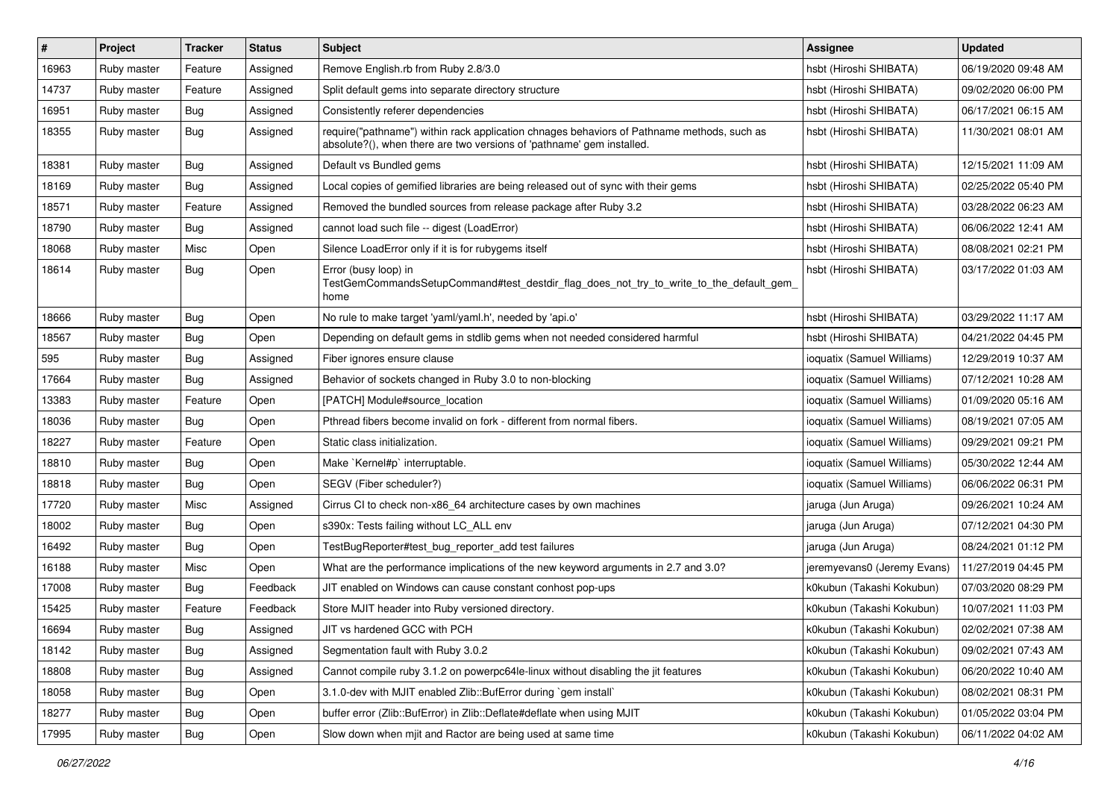| $\vert$ # | Project     | <b>Tracker</b> | <b>Status</b> | Subject                                                                                                                                                             | <b>Assignee</b>             | <b>Updated</b>      |
|-----------|-------------|----------------|---------------|---------------------------------------------------------------------------------------------------------------------------------------------------------------------|-----------------------------|---------------------|
| 16963     | Ruby master | Feature        | Assigned      | Remove English.rb from Ruby 2.8/3.0                                                                                                                                 | hsbt (Hiroshi SHIBATA)      | 06/19/2020 09:48 AM |
| 14737     | Ruby master | Feature        | Assigned      | Split default gems into separate directory structure                                                                                                                | hsbt (Hiroshi SHIBATA)      | 09/02/2020 06:00 PM |
| 16951     | Ruby master | Bug            | Assigned      | Consistently referer dependencies                                                                                                                                   | hsbt (Hiroshi SHIBATA)      | 06/17/2021 06:15 AM |
| 18355     | Ruby master | <b>Bug</b>     | Assigned      | require("pathname") within rack application chnages behaviors of Pathname methods, such as<br>absolute?(), when there are two versions of 'pathname' gem installed. | hsbt (Hiroshi SHIBATA)      | 11/30/2021 08:01 AM |
| 18381     | Ruby master | Bug            | Assigned      | Default vs Bundled gems                                                                                                                                             | hsbt (Hiroshi SHIBATA)      | 12/15/2021 11:09 AM |
| 18169     | Ruby master | <b>Bug</b>     | Assigned      | Local copies of gemified libraries are being released out of sync with their gems                                                                                   | hsbt (Hiroshi SHIBATA)      | 02/25/2022 05:40 PM |
| 18571     | Ruby master | Feature        | Assigned      | Removed the bundled sources from release package after Ruby 3.2                                                                                                     | hsbt (Hiroshi SHIBATA)      | 03/28/2022 06:23 AM |
| 18790     | Ruby master | Bug            | Assigned      | cannot load such file -- digest (LoadError)                                                                                                                         | hsbt (Hiroshi SHIBATA)      | 06/06/2022 12:41 AM |
| 18068     | Ruby master | Misc           | Open          | Silence LoadError only if it is for rubygems itself                                                                                                                 | hsbt (Hiroshi SHIBATA)      | 08/08/2021 02:21 PM |
| 18614     | Ruby master | Bug            | Open          | Error (busy loop) in<br>TestGemCommandsSetupCommand#test_destdir_flag_does_not_try_to_write_to_the_default_gem_<br>home                                             | hsbt (Hiroshi SHIBATA)      | 03/17/2022 01:03 AM |
| 18666     | Ruby master | Bug            | Open          | No rule to make target 'yaml/yaml.h', needed by 'api.o'                                                                                                             | hsbt (Hiroshi SHIBATA)      | 03/29/2022 11:17 AM |
| 18567     | Ruby master | <b>Bug</b>     | Open          | Depending on default gems in stdlib gems when not needed considered harmful                                                                                         | hsbt (Hiroshi SHIBATA)      | 04/21/2022 04:45 PM |
| 595       | Ruby master | <b>Bug</b>     | Assigned      | Fiber ignores ensure clause                                                                                                                                         | ioquatix (Samuel Williams)  | 12/29/2019 10:37 AM |
| 17664     | Ruby master | Bug            | Assigned      | Behavior of sockets changed in Ruby 3.0 to non-blocking                                                                                                             | ioquatix (Samuel Williams)  | 07/12/2021 10:28 AM |
| 13383     | Ruby master | Feature        | Open          | [PATCH] Module#source_location                                                                                                                                      | ioquatix (Samuel Williams)  | 01/09/2020 05:16 AM |
| 18036     | Ruby master | Bug            | Open          | Pthread fibers become invalid on fork - different from normal fibers.                                                                                               | ioquatix (Samuel Williams)  | 08/19/2021 07:05 AM |
| 18227     | Ruby master | Feature        | Open          | Static class initialization.                                                                                                                                        | ioquatix (Samuel Williams)  | 09/29/2021 09:21 PM |
| 18810     | Ruby master | Bug            | Open          | Make `Kernel#p` interruptable.                                                                                                                                      | ioquatix (Samuel Williams)  | 05/30/2022 12:44 AM |
| 18818     | Ruby master | <b>Bug</b>     | Open          | SEGV (Fiber scheduler?)                                                                                                                                             | ioquatix (Samuel Williams)  | 06/06/2022 06:31 PM |
| 17720     | Ruby master | Misc           | Assigned      | Cirrus CI to check non-x86_64 architecture cases by own machines                                                                                                    | jaruga (Jun Aruga)          | 09/26/2021 10:24 AM |
| 18002     | Ruby master | Bug            | Open          | s390x: Tests failing without LC_ALL env                                                                                                                             | jaruga (Jun Aruga)          | 07/12/2021 04:30 PM |
| 16492     | Ruby master | <b>Bug</b>     | Open          | TestBugReporter#test_bug_reporter_add test failures                                                                                                                 | jaruga (Jun Aruga)          | 08/24/2021 01:12 PM |
| 16188     | Ruby master | Misc           | Open          | What are the performance implications of the new keyword arguments in 2.7 and 3.0?                                                                                  | jeremyevans0 (Jeremy Evans) | 11/27/2019 04:45 PM |
| 17008     | Ruby master | <b>Bug</b>     | Feedback      | JIT enabled on Windows can cause constant conhost pop-ups                                                                                                           | k0kubun (Takashi Kokubun)   | 07/03/2020 08:29 PM |
| 15425     | Ruby master | Feature        | Feedback      | Store MJIT header into Ruby versioned directory.                                                                                                                    | k0kubun (Takashi Kokubun)   | 10/07/2021 11:03 PM |
| 16694     | Ruby master | Bug            | Assigned      | JIT vs hardened GCC with PCH                                                                                                                                        | k0kubun (Takashi Kokubun)   | 02/02/2021 07:38 AM |
| 18142     | Ruby master | <b>Bug</b>     | Assigned      | Segmentation fault with Ruby 3.0.2                                                                                                                                  | k0kubun (Takashi Kokubun)   | 09/02/2021 07:43 AM |
| 18808     | Ruby master | Bug            | Assigned      | Cannot compile ruby 3.1.2 on powerpc64le-linux without disabling the jit features                                                                                   | k0kubun (Takashi Kokubun)   | 06/20/2022 10:40 AM |
| 18058     | Ruby master | <b>Bug</b>     | Open          | 3.1.0-dev with MJIT enabled Zlib::BufError during `gem install`                                                                                                     | k0kubun (Takashi Kokubun)   | 08/02/2021 08:31 PM |
| 18277     | Ruby master | Bug            | Open          | buffer error (Zlib::BufError) in Zlib::Deflate#deflate when using MJIT                                                                                              | k0kubun (Takashi Kokubun)   | 01/05/2022 03:04 PM |
| 17995     | Ruby master | Bug            | Open          | Slow down when mjit and Ractor are being used at same time                                                                                                          | k0kubun (Takashi Kokubun)   | 06/11/2022 04:02 AM |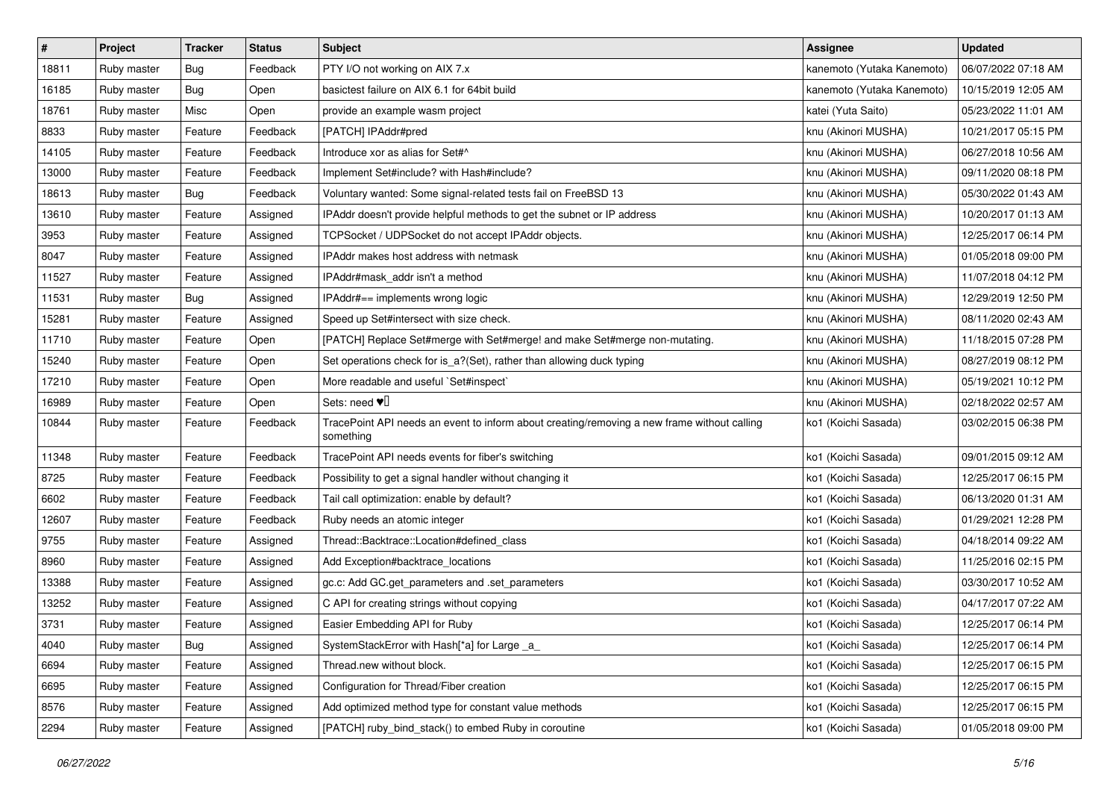| $\sharp$ | Project     | <b>Tracker</b> | <b>Status</b> | <b>Subject</b>                                                                                           | <b>Assignee</b>            | <b>Updated</b>      |
|----------|-------------|----------------|---------------|----------------------------------------------------------------------------------------------------------|----------------------------|---------------------|
| 18811    | Ruby master | <b>Bug</b>     | Feedback      | PTY I/O not working on AIX 7.x                                                                           | kanemoto (Yutaka Kanemoto) | 06/07/2022 07:18 AM |
| 16185    | Ruby master | Bug            | Open          | basictest failure on AIX 6.1 for 64bit build                                                             | kanemoto (Yutaka Kanemoto) | 10/15/2019 12:05 AM |
| 18761    | Ruby master | Misc           | Open          | provide an example wasm project                                                                          | katei (Yuta Saito)         | 05/23/2022 11:01 AM |
| 8833     | Ruby master | Feature        | Feedback      | [PATCH] IPAddr#pred                                                                                      | knu (Akinori MUSHA)        | 10/21/2017 05:15 PM |
| 14105    | Ruby master | Feature        | Feedback      | Introduce xor as alias for Set#^                                                                         | knu (Akinori MUSHA)        | 06/27/2018 10:56 AM |
| 13000    | Ruby master | Feature        | Feedback      | Implement Set#include? with Hash#include?                                                                | knu (Akinori MUSHA)        | 09/11/2020 08:18 PM |
| 18613    | Ruby master | <b>Bug</b>     | Feedback      | Voluntary wanted: Some signal-related tests fail on FreeBSD 13                                           | knu (Akinori MUSHA)        | 05/30/2022 01:43 AM |
| 13610    | Ruby master | Feature        | Assigned      | IPAddr doesn't provide helpful methods to get the subnet or IP address                                   | knu (Akinori MUSHA)        | 10/20/2017 01:13 AM |
| 3953     | Ruby master | Feature        | Assigned      | TCPSocket / UDPSocket do not accept IPAddr objects.                                                      | knu (Akinori MUSHA)        | 12/25/2017 06:14 PM |
| 8047     | Ruby master | Feature        | Assigned      | IPAddr makes host address with netmask                                                                   | knu (Akinori MUSHA)        | 01/05/2018 09:00 PM |
| 11527    | Ruby master | Feature        | Assigned      | IPAddr#mask addr isn't a method                                                                          | knu (Akinori MUSHA)        | 11/07/2018 04:12 PM |
| 11531    | Ruby master | <b>Bug</b>     | Assigned      | IPAddr#== implements wrong logic                                                                         | knu (Akinori MUSHA)        | 12/29/2019 12:50 PM |
| 15281    | Ruby master | Feature        | Assigned      | Speed up Set#intersect with size check.                                                                  | knu (Akinori MUSHA)        | 08/11/2020 02:43 AM |
| 11710    | Ruby master | Feature        | Open          | [PATCH] Replace Set#merge with Set#merge! and make Set#merge non-mutating.                               | knu (Akinori MUSHA)        | 11/18/2015 07:28 PM |
| 15240    | Ruby master | Feature        | Open          | Set operations check for is_a?(Set), rather than allowing duck typing                                    | knu (Akinori MUSHA)        | 08/27/2019 08:12 PM |
| 17210    | Ruby master | Feature        | Open          | More readable and useful `Set#inspect`                                                                   | knu (Akinori MUSHA)        | 05/19/2021 10:12 PM |
| 16989    | Ruby master | Feature        | Open          | Sets: need $\Psi$                                                                                        | knu (Akinori MUSHA)        | 02/18/2022 02:57 AM |
| 10844    | Ruby master | Feature        | Feedback      | TracePoint API needs an event to inform about creating/removing a new frame without calling<br>something | ko1 (Koichi Sasada)        | 03/02/2015 06:38 PM |
| 11348    | Ruby master | Feature        | Feedback      | TracePoint API needs events for fiber's switching                                                        | ko1 (Koichi Sasada)        | 09/01/2015 09:12 AM |
| 8725     | Ruby master | Feature        | Feedback      | Possibility to get a signal handler without changing it                                                  | ko1 (Koichi Sasada)        | 12/25/2017 06:15 PM |
| 6602     | Ruby master | Feature        | Feedback      | Tail call optimization: enable by default?                                                               | ko1 (Koichi Sasada)        | 06/13/2020 01:31 AM |
| 12607    | Ruby master | Feature        | Feedback      | Ruby needs an atomic integer                                                                             | ko1 (Koichi Sasada)        | 01/29/2021 12:28 PM |
| 9755     | Ruby master | Feature        | Assigned      | Thread::Backtrace::Location#defined class                                                                | ko1 (Koichi Sasada)        | 04/18/2014 09:22 AM |
| 8960     | Ruby master | Feature        | Assigned      | Add Exception#backtrace_locations                                                                        | ko1 (Koichi Sasada)        | 11/25/2016 02:15 PM |
| 13388    | Ruby master | Feature        | Assigned      | gc.c: Add GC.get_parameters and .set_parameters                                                          | ko1 (Koichi Sasada)        | 03/30/2017 10:52 AM |
| 13252    | Ruby master | Feature        | Assigned      | C API for creating strings without copying                                                               | ko1 (Koichi Sasada)        | 04/17/2017 07:22 AM |
| 3731     | Ruby master | Feature        | Assigned      | Easier Embedding API for Ruby                                                                            | ko1 (Koichi Sasada)        | 12/25/2017 06:14 PM |
| 4040     | Ruby master | Bug            | Assigned      | SystemStackError with Hash[*a] for Large _a_                                                             | ko1 (Koichi Sasada)        | 12/25/2017 06:14 PM |
| 6694     | Ruby master | Feature        | Assigned      | Thread.new without block.                                                                                | ko1 (Koichi Sasada)        | 12/25/2017 06:15 PM |
| 6695     | Ruby master | Feature        | Assigned      | Configuration for Thread/Fiber creation                                                                  | ko1 (Koichi Sasada)        | 12/25/2017 06:15 PM |
| 8576     | Ruby master | Feature        | Assigned      | Add optimized method type for constant value methods                                                     | ko1 (Koichi Sasada)        | 12/25/2017 06:15 PM |
| 2294     | Ruby master | Feature        | Assigned      | [PATCH] ruby_bind_stack() to embed Ruby in coroutine                                                     | ko1 (Koichi Sasada)        | 01/05/2018 09:00 PM |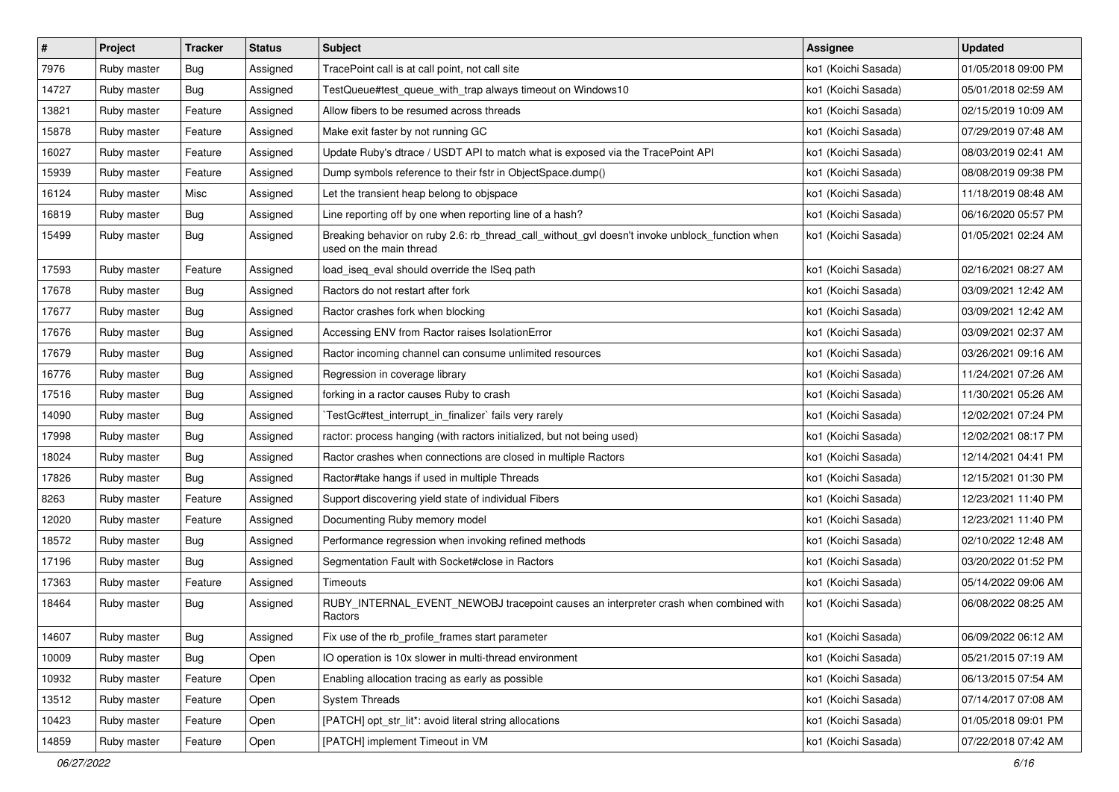| $\pmb{\#}$ | Project     | <b>Tracker</b> | <b>Status</b> | Subject                                                                                                                   | <b>Assignee</b>     | <b>Updated</b>      |
|------------|-------------|----------------|---------------|---------------------------------------------------------------------------------------------------------------------------|---------------------|---------------------|
| 7976       | Ruby master | <b>Bug</b>     | Assigned      | TracePoint call is at call point, not call site                                                                           | ko1 (Koichi Sasada) | 01/05/2018 09:00 PM |
| 14727      | Ruby master | Bug            | Assigned      | TestQueue#test_queue_with_trap always timeout on Windows10                                                                | ko1 (Koichi Sasada) | 05/01/2018 02:59 AM |
| 13821      | Ruby master | Feature        | Assigned      | Allow fibers to be resumed across threads                                                                                 | ko1 (Koichi Sasada) | 02/15/2019 10:09 AM |
| 15878      | Ruby master | Feature        | Assigned      | Make exit faster by not running GC                                                                                        | ko1 (Koichi Sasada) | 07/29/2019 07:48 AM |
| 16027      | Ruby master | Feature        | Assigned      | Update Ruby's dtrace / USDT API to match what is exposed via the TracePoint API                                           | ko1 (Koichi Sasada) | 08/03/2019 02:41 AM |
| 15939      | Ruby master | Feature        | Assigned      | Dump symbols reference to their fstr in ObjectSpace.dump()                                                                | ko1 (Koichi Sasada) | 08/08/2019 09:38 PM |
| 16124      | Ruby master | Misc           | Assigned      | Let the transient heap belong to obispace                                                                                 | ko1 (Koichi Sasada) | 11/18/2019 08:48 AM |
| 16819      | Ruby master | <b>Bug</b>     | Assigned      | Line reporting off by one when reporting line of a hash?                                                                  | ko1 (Koichi Sasada) | 06/16/2020 05:57 PM |
| 15499      | Ruby master | <b>Bug</b>     | Assigned      | Breaking behavior on ruby 2.6: rb_thread_call_without_gvl doesn't invoke unblock_function when<br>used on the main thread | ko1 (Koichi Sasada) | 01/05/2021 02:24 AM |
| 17593      | Ruby master | Feature        | Assigned      | load_iseq_eval should override the ISeq path                                                                              | ko1 (Koichi Sasada) | 02/16/2021 08:27 AM |
| 17678      | Ruby master | Bug            | Assigned      | Ractors do not restart after fork                                                                                         | ko1 (Koichi Sasada) | 03/09/2021 12:42 AM |
| 17677      | Ruby master | <b>Bug</b>     | Assigned      | Ractor crashes fork when blocking                                                                                         | ko1 (Koichi Sasada) | 03/09/2021 12:42 AM |
| 17676      | Ruby master | <b>Bug</b>     | Assigned      | Accessing ENV from Ractor raises IsolationError                                                                           | ko1 (Koichi Sasada) | 03/09/2021 02:37 AM |
| 17679      | Ruby master | Bug            | Assigned      | Ractor incoming channel can consume unlimited resources                                                                   | ko1 (Koichi Sasada) | 03/26/2021 09:16 AM |
| 16776      | Ruby master | Bug            | Assigned      | Regression in coverage library                                                                                            | ko1 (Koichi Sasada) | 11/24/2021 07:26 AM |
| 17516      | Ruby master | Bug            | Assigned      | forking in a ractor causes Ruby to crash                                                                                  | ko1 (Koichi Sasada) | 11/30/2021 05:26 AM |
| 14090      | Ruby master | Bug            | Assigned      | TestGc#test interrupt in finalizer` fails very rarely                                                                     | ko1 (Koichi Sasada) | 12/02/2021 07:24 PM |
| 17998      | Ruby master | Bug            | Assigned      | ractor: process hanging (with ractors initialized, but not being used)                                                    | ko1 (Koichi Sasada) | 12/02/2021 08:17 PM |
| 18024      | Ruby master | Bug            | Assigned      | Ractor crashes when connections are closed in multiple Ractors                                                            | ko1 (Koichi Sasada) | 12/14/2021 04:41 PM |
| 17826      | Ruby master | Bug            | Assigned      | Ractor#take hangs if used in multiple Threads                                                                             | ko1 (Koichi Sasada) | 12/15/2021 01:30 PM |
| 8263       | Ruby master | Feature        | Assigned      | Support discovering yield state of individual Fibers                                                                      | ko1 (Koichi Sasada) | 12/23/2021 11:40 PM |
| 12020      | Ruby master | Feature        | Assigned      | Documenting Ruby memory model                                                                                             | ko1 (Koichi Sasada) | 12/23/2021 11:40 PM |
| 18572      | Ruby master | <b>Bug</b>     | Assigned      | Performance regression when invoking refined methods                                                                      | ko1 (Koichi Sasada) | 02/10/2022 12:48 AM |
| 17196      | Ruby master | Bug            | Assigned      | Segmentation Fault with Socket#close in Ractors                                                                           | ko1 (Koichi Sasada) | 03/20/2022 01:52 PM |
| 17363      | Ruby master | Feature        | Assigned      | Timeouts                                                                                                                  | ko1 (Koichi Sasada) | 05/14/2022 09:06 AM |
| 18464      | Ruby master | Bug            | Assigned      | RUBY_INTERNAL_EVENT_NEWOBJ tracepoint causes an interpreter crash when combined with<br>Ractors                           | ko1 (Koichi Sasada) | 06/08/2022 08:25 AM |
| 14607      | Ruby master | Bug            | Assigned      | Fix use of the rb_profile_frames start parameter                                                                          | ko1 (Koichi Sasada) | 06/09/2022 06:12 AM |
| 10009      | Ruby master | Bug            | Open          | IO operation is 10x slower in multi-thread environment                                                                    | ko1 (Koichi Sasada) | 05/21/2015 07:19 AM |
| 10932      | Ruby master | Feature        | Open          | Enabling allocation tracing as early as possible                                                                          | ko1 (Koichi Sasada) | 06/13/2015 07:54 AM |
| 13512      | Ruby master | Feature        | Open          | <b>System Threads</b>                                                                                                     | ko1 (Koichi Sasada) | 07/14/2017 07:08 AM |
| 10423      | Ruby master | Feature        | Open          | [PATCH] opt_str_lit*: avoid literal string allocations                                                                    | ko1 (Koichi Sasada) | 01/05/2018 09:01 PM |
| 14859      | Ruby master | Feature        | Open          | [PATCH] implement Timeout in VM                                                                                           | ko1 (Koichi Sasada) | 07/22/2018 07:42 AM |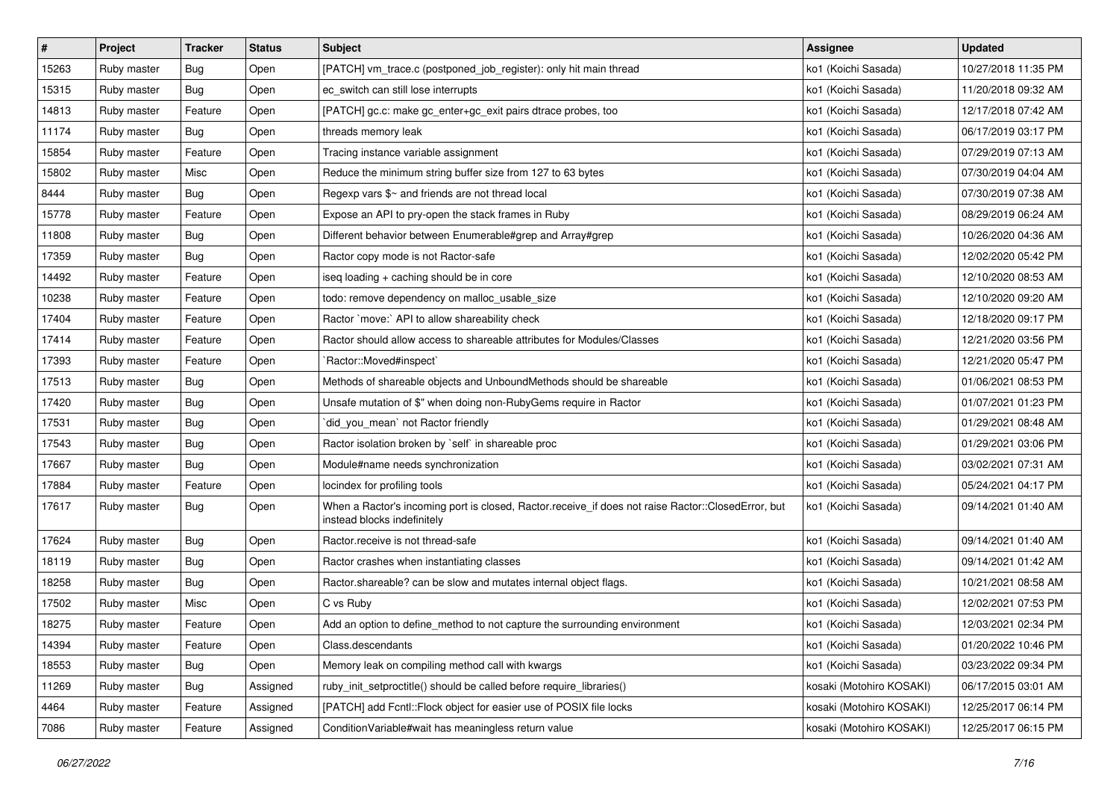| $\vert$ # | Project     | Tracker    | <b>Status</b> | Subject                                                                                                                           | <b>Assignee</b>          | <b>Updated</b>      |
|-----------|-------------|------------|---------------|-----------------------------------------------------------------------------------------------------------------------------------|--------------------------|---------------------|
| 15263     | Ruby master | <b>Bug</b> | Open          | [PATCH] vm_trace.c (postponed_job_register): only hit main thread                                                                 | ko1 (Koichi Sasada)      | 10/27/2018 11:35 PM |
| 15315     | Ruby master | Bug        | Open          | ec_switch can still lose interrupts                                                                                               | ko1 (Koichi Sasada)      | 11/20/2018 09:32 AM |
| 14813     | Ruby master | Feature    | Open          | [PATCH] gc.c: make gc_enter+gc_exit pairs dtrace probes, too                                                                      | ko1 (Koichi Sasada)      | 12/17/2018 07:42 AM |
| 11174     | Ruby master | <b>Bug</b> | Open          | threads memory leak                                                                                                               | ko1 (Koichi Sasada)      | 06/17/2019 03:17 PM |
| 15854     | Ruby master | Feature    | Open          | Tracing instance variable assignment                                                                                              | ko1 (Koichi Sasada)      | 07/29/2019 07:13 AM |
| 15802     | Ruby master | Misc       | Open          | Reduce the minimum string buffer size from 127 to 63 bytes                                                                        | ko1 (Koichi Sasada)      | 07/30/2019 04:04 AM |
| 8444      | Ruby master | Bug        | Open          | Regexp vars \$~ and friends are not thread local                                                                                  | ko1 (Koichi Sasada)      | 07/30/2019 07:38 AM |
| 15778     | Ruby master | Feature    | Open          | Expose an API to pry-open the stack frames in Ruby                                                                                | ko1 (Koichi Sasada)      | 08/29/2019 06:24 AM |
| 11808     | Ruby master | Bug        | Open          | Different behavior between Enumerable#grep and Array#grep                                                                         | ko1 (Koichi Sasada)      | 10/26/2020 04:36 AM |
| 17359     | Ruby master | Bug        | Open          | Ractor copy mode is not Ractor-safe                                                                                               | ko1 (Koichi Sasada)      | 12/02/2020 05:42 PM |
| 14492     | Ruby master | Feature    | Open          | iseq loading + caching should be in core                                                                                          | ko1 (Koichi Sasada)      | 12/10/2020 08:53 AM |
| 10238     | Ruby master | Feature    | Open          | todo: remove dependency on malloc_usable_size                                                                                     | ko1 (Koichi Sasada)      | 12/10/2020 09:20 AM |
| 17404     | Ruby master | Feature    | Open          | Ractor `move:` API to allow shareability check                                                                                    | ko1 (Koichi Sasada)      | 12/18/2020 09:17 PM |
| 17414     | Ruby master | Feature    | Open          | Ractor should allow access to shareable attributes for Modules/Classes                                                            | ko1 (Koichi Sasada)      | 12/21/2020 03:56 PM |
| 17393     | Ruby master | Feature    | Open          | `Ractor::Moved#inspect`                                                                                                           | ko1 (Koichi Sasada)      | 12/21/2020 05:47 PM |
| 17513     | Ruby master | Bug        | Open          | Methods of shareable objects and UnboundMethods should be shareable                                                               | ko1 (Koichi Sasada)      | 01/06/2021 08:53 PM |
| 17420     | Ruby master | <b>Bug</b> | Open          | Unsafe mutation of \$" when doing non-RubyGems require in Ractor                                                                  | ko1 (Koichi Sasada)      | 01/07/2021 01:23 PM |
| 17531     | Ruby master | Bug        | Open          | did_you_mean' not Ractor friendly                                                                                                 | ko1 (Koichi Sasada)      | 01/29/2021 08:48 AM |
| 17543     | Ruby master | <b>Bug</b> | Open          | Ractor isolation broken by `self` in shareable proc                                                                               | ko1 (Koichi Sasada)      | 01/29/2021 03:06 PM |
| 17667     | Ruby master | Bug        | Open          | Module#name needs synchronization                                                                                                 | ko1 (Koichi Sasada)      | 03/02/2021 07:31 AM |
| 17884     | Ruby master | Feature    | Open          | locindex for profiling tools                                                                                                      | ko1 (Koichi Sasada)      | 05/24/2021 04:17 PM |
| 17617     | Ruby master | <b>Bug</b> | Open          | When a Ractor's incoming port is closed, Ractor.receive_if does not raise Ractor::ClosedError, but<br>instead blocks indefinitely | ko1 (Koichi Sasada)      | 09/14/2021 01:40 AM |
| 17624     | Ruby master | <b>Bug</b> | Open          | Ractor.receive is not thread-safe                                                                                                 | ko1 (Koichi Sasada)      | 09/14/2021 01:40 AM |
| 18119     | Ruby master | <b>Bug</b> | Open          | Ractor crashes when instantiating classes                                                                                         | ko1 (Koichi Sasada)      | 09/14/2021 01:42 AM |
| 18258     | Ruby master | Bug        | Open          | Ractor.shareable? can be slow and mutates internal object flags.                                                                  | ko1 (Koichi Sasada)      | 10/21/2021 08:58 AM |
| 17502     | Ruby master | Misc       | Open          | C vs Ruby                                                                                                                         | ko1 (Koichi Sasada)      | 12/02/2021 07:53 PM |
| 18275     | Ruby master | Feature    | Open          | Add an option to define_method to not capture the surrounding environment                                                         | ko1 (Koichi Sasada)      | 12/03/2021 02:34 PM |
| 14394     | Ruby master | Feature    | Open          | Class.descendants                                                                                                                 | ko1 (Koichi Sasada)      | 01/20/2022 10:46 PM |
| 18553     | Ruby master | Bug        | Open          | Memory leak on compiling method call with kwargs                                                                                  | ko1 (Koichi Sasada)      | 03/23/2022 09:34 PM |
| 11269     | Ruby master | <b>Bug</b> | Assigned      | ruby init setproctitle() should be called before require libraries()                                                              | kosaki (Motohiro KOSAKI) | 06/17/2015 03:01 AM |
| 4464      | Ruby master | Feature    | Assigned      | [PATCH] add Fcntl::Flock object for easier use of POSIX file locks                                                                | kosaki (Motohiro KOSAKI) | 12/25/2017 06:14 PM |
| 7086      | Ruby master | Feature    | Assigned      | ConditionVariable#wait has meaningless return value                                                                               | kosaki (Motohiro KOSAKI) | 12/25/2017 06:15 PM |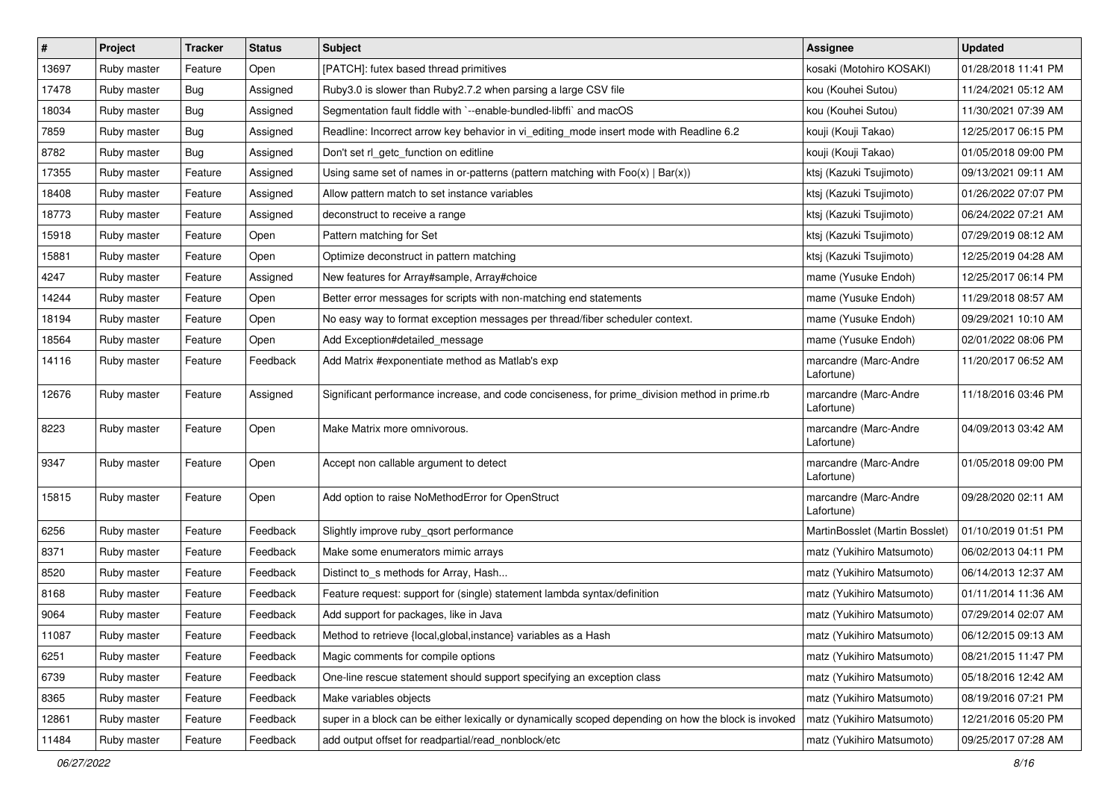| #     | Project     | <b>Tracker</b> | <b>Status</b> | <b>Subject</b>                                                                                       | <b>Assignee</b>                     | <b>Updated</b>      |
|-------|-------------|----------------|---------------|------------------------------------------------------------------------------------------------------|-------------------------------------|---------------------|
| 13697 | Ruby master | Feature        | Open          | [PATCH]: futex based thread primitives                                                               | kosaki (Motohiro KOSAKI)            | 01/28/2018 11:41 PM |
| 17478 | Ruby master | Bug            | Assigned      | Ruby3.0 is slower than Ruby2.7.2 when parsing a large CSV file                                       | kou (Kouhei Sutou)                  | 11/24/2021 05:12 AM |
| 18034 | Ruby master | Bug            | Assigned      | Segmentation fault fiddle with `--enable-bundled-libffi` and macOS                                   | kou (Kouhei Sutou)                  | 11/30/2021 07:39 AM |
| 7859  | Ruby master | Bug            | Assigned      | Readline: Incorrect arrow key behavior in vi_editing_mode insert mode with Readline 6.2              | kouji (Kouji Takao)                 | 12/25/2017 06:15 PM |
| 8782  | Ruby master | <b>Bug</b>     | Assigned      | Don't set rl_getc_function on editline                                                               | kouji (Kouji Takao)                 | 01/05/2018 09:00 PM |
| 17355 | Ruby master | Feature        | Assigned      | Using same set of names in or-patterns (pattern matching with $Foo(x)   Bar(x)$ )                    | ktsj (Kazuki Tsujimoto)             | 09/13/2021 09:11 AM |
| 18408 | Ruby master | Feature        | Assigned      | Allow pattern match to set instance variables                                                        | ktsj (Kazuki Tsujimoto)             | 01/26/2022 07:07 PM |
| 18773 | Ruby master | Feature        | Assigned      | deconstruct to receive a range                                                                       | ktsj (Kazuki Tsujimoto)             | 06/24/2022 07:21 AM |
| 15918 | Ruby master | Feature        | Open          | Pattern matching for Set                                                                             | ktsj (Kazuki Tsujimoto)             | 07/29/2019 08:12 AM |
| 15881 | Ruby master | Feature        | Open          | Optimize deconstruct in pattern matching                                                             | ktsj (Kazuki Tsujimoto)             | 12/25/2019 04:28 AM |
| 4247  | Ruby master | Feature        | Assigned      | New features for Array#sample, Array#choice                                                          | mame (Yusuke Endoh)                 | 12/25/2017 06:14 PM |
| 14244 | Ruby master | Feature        | Open          | Better error messages for scripts with non-matching end statements                                   | mame (Yusuke Endoh)                 | 11/29/2018 08:57 AM |
| 18194 | Ruby master | Feature        | Open          | No easy way to format exception messages per thread/fiber scheduler context.                         | mame (Yusuke Endoh)                 | 09/29/2021 10:10 AM |
| 18564 | Ruby master | Feature        | Open          | Add Exception#detailed_message                                                                       | mame (Yusuke Endoh)                 | 02/01/2022 08:06 PM |
| 14116 | Ruby master | Feature        | Feedback      | Add Matrix #exponentiate method as Matlab's exp                                                      | marcandre (Marc-Andre<br>Lafortune) | 11/20/2017 06:52 AM |
| 12676 | Ruby master | Feature        | Assigned      | Significant performance increase, and code conciseness, for prime_division method in prime.rb        | marcandre (Marc-Andre<br>Lafortune) | 11/18/2016 03:46 PM |
| 8223  | Ruby master | Feature        | Open          | Make Matrix more omnivorous.                                                                         | marcandre (Marc-Andre<br>Lafortune) | 04/09/2013 03:42 AM |
| 9347  | Ruby master | Feature        | Open          | Accept non callable argument to detect                                                               | marcandre (Marc-Andre<br>Lafortune) | 01/05/2018 09:00 PM |
| 15815 | Ruby master | Feature        | Open          | Add option to raise NoMethodError for OpenStruct                                                     | marcandre (Marc-Andre<br>Lafortune) | 09/28/2020 02:11 AM |
| 6256  | Ruby master | Feature        | Feedback      | Slightly improve ruby_qsort performance                                                              | MartinBosslet (Martin Bosslet)      | 01/10/2019 01:51 PM |
| 8371  | Ruby master | Feature        | Feedback      | Make some enumerators mimic arrays                                                                   | matz (Yukihiro Matsumoto)           | 06/02/2013 04:11 PM |
| 8520  | Ruby master | Feature        | Feedback      | Distinct to_s methods for Array, Hash                                                                | matz (Yukihiro Matsumoto)           | 06/14/2013 12:37 AM |
| 8168  | Ruby master | Feature        | Feedback      | Feature request: support for (single) statement lambda syntax/definition                             | matz (Yukihiro Matsumoto)           | 01/11/2014 11:36 AM |
| 9064  | Ruby master | Feature        | Feedback      | Add support for packages, like in Java                                                               | matz (Yukihiro Matsumoto)           | 07/29/2014 02:07 AM |
| 11087 | Ruby master | Feature        | Feedback      | Method to retrieve {local, global, instance} variables as a Hash                                     | matz (Yukihiro Matsumoto)           | 06/12/2015 09:13 AM |
| 6251  | Ruby master | Feature        | Feedback      | Magic comments for compile options                                                                   | matz (Yukihiro Matsumoto)           | 08/21/2015 11:47 PM |
| 6739  | Ruby master | Feature        | Feedback      | One-line rescue statement should support specifying an exception class                               | matz (Yukihiro Matsumoto)           | 05/18/2016 12:42 AM |
| 8365  | Ruby master | Feature        | Feedback      | Make variables objects                                                                               | matz (Yukihiro Matsumoto)           | 08/19/2016 07:21 PM |
| 12861 | Ruby master | Feature        | Feedback      | super in a block can be either lexically or dynamically scoped depending on how the block is invoked | matz (Yukihiro Matsumoto)           | 12/21/2016 05:20 PM |
| 11484 | Ruby master | Feature        | Feedback      | add output offset for readpartial/read_nonblock/etc                                                  | matz (Yukihiro Matsumoto)           | 09/25/2017 07:28 AM |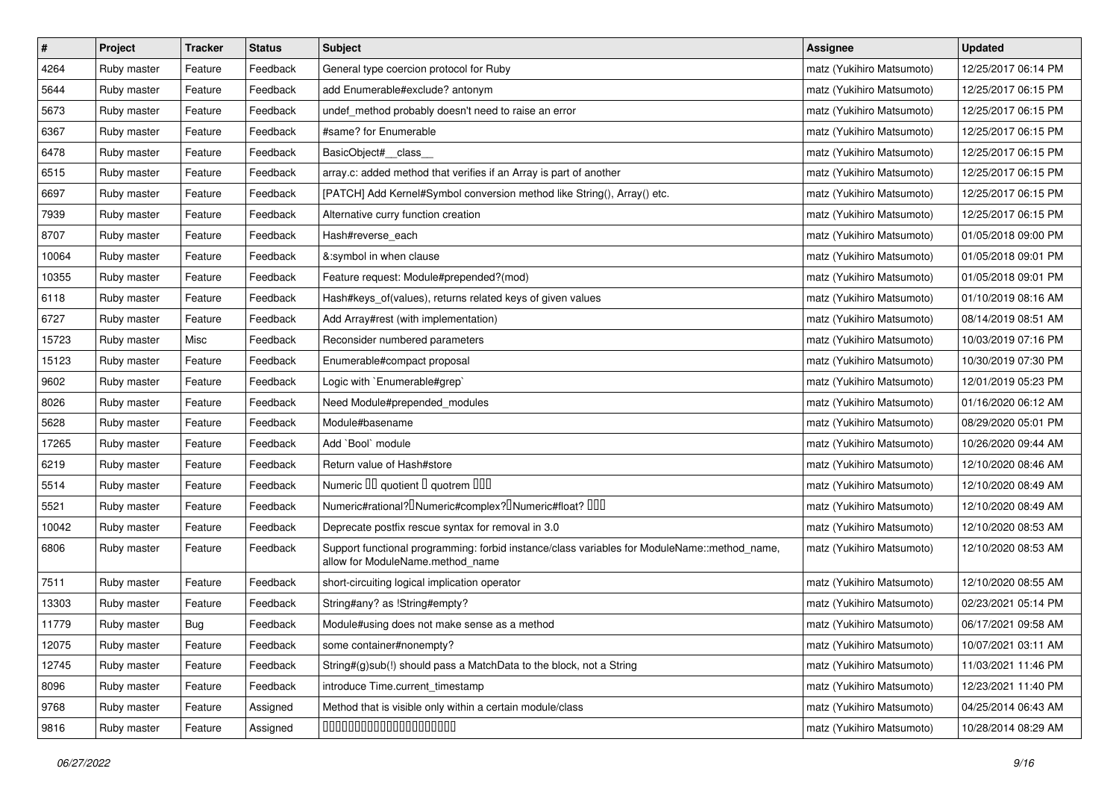| $\pmb{\#}$ | Project     | <b>Tracker</b> | <b>Status</b> | Subject                                                                                                                          | <b>Assignee</b>           | <b>Updated</b>      |
|------------|-------------|----------------|---------------|----------------------------------------------------------------------------------------------------------------------------------|---------------------------|---------------------|
| 4264       | Ruby master | Feature        | Feedback      | General type coercion protocol for Ruby                                                                                          | matz (Yukihiro Matsumoto) | 12/25/2017 06:14 PM |
| 5644       | Ruby master | Feature        | Feedback      | add Enumerable#exclude? antonym                                                                                                  | matz (Yukihiro Matsumoto) | 12/25/2017 06:15 PM |
| 5673       | Ruby master | Feature        | Feedback      | undef_method probably doesn't need to raise an error                                                                             | matz (Yukihiro Matsumoto) | 12/25/2017 06:15 PM |
| 6367       | Ruby master | Feature        | Feedback      | #same? for Enumerable                                                                                                            | matz (Yukihiro Matsumoto) | 12/25/2017 06:15 PM |
| 6478       | Ruby master | Feature        | Feedback      | BasicObject#_class_                                                                                                              | matz (Yukihiro Matsumoto) | 12/25/2017 06:15 PM |
| 6515       | Ruby master | Feature        | Feedback      | array.c: added method that verifies if an Array is part of another                                                               | matz (Yukihiro Matsumoto) | 12/25/2017 06:15 PM |
| 6697       | Ruby master | Feature        | Feedback      | [PATCH] Add Kernel#Symbol conversion method like String(), Array() etc.                                                          | matz (Yukihiro Matsumoto) | 12/25/2017 06:15 PM |
| 7939       | Ruby master | Feature        | Feedback      | Alternative curry function creation                                                                                              | matz (Yukihiro Matsumoto) | 12/25/2017 06:15 PM |
| 8707       | Ruby master | Feature        | Feedback      | Hash#reverse_each                                                                                                                | matz (Yukihiro Matsumoto) | 01/05/2018 09:00 PM |
| 10064      | Ruby master | Feature        | Feedback      | &:symbol in when clause                                                                                                          | matz (Yukihiro Matsumoto) | 01/05/2018 09:01 PM |
| 10355      | Ruby master | Feature        | Feedback      | Feature request: Module#prepended?(mod)                                                                                          | matz (Yukihiro Matsumoto) | 01/05/2018 09:01 PM |
| 6118       | Ruby master | Feature        | Feedback      | Hash#keys_of(values), returns related keys of given values                                                                       | matz (Yukihiro Matsumoto) | 01/10/2019 08:16 AM |
| 6727       | Ruby master | Feature        | Feedback      | Add Array#rest (with implementation)                                                                                             | matz (Yukihiro Matsumoto) | 08/14/2019 08:51 AM |
| 15723      | Ruby master | Misc           | Feedback      | Reconsider numbered parameters                                                                                                   | matz (Yukihiro Matsumoto) | 10/03/2019 07:16 PM |
| 15123      | Ruby master | Feature        | Feedback      | Enumerable#compact proposal                                                                                                      | matz (Yukihiro Matsumoto) | 10/30/2019 07:30 PM |
| 9602       | Ruby master | Feature        | Feedback      | Logic with `Enumerable#grep`                                                                                                     | matz (Yukihiro Matsumoto) | 12/01/2019 05:23 PM |
| 8026       | Ruby master | Feature        | Feedback      | Need Module#prepended_modules                                                                                                    | matz (Yukihiro Matsumoto) | 01/16/2020 06:12 AM |
| 5628       | Ruby master | Feature        | Feedback      | Module#basename                                                                                                                  | matz (Yukihiro Matsumoto) | 08/29/2020 05:01 PM |
| 17265      | Ruby master | Feature        | Feedback      | Add `Bool` module                                                                                                                | matz (Yukihiro Matsumoto) | 10/26/2020 09:44 AM |
| 6219       | Ruby master | Feature        | Feedback      | Return value of Hash#store                                                                                                       | matz (Yukihiro Matsumoto) | 12/10/2020 08:46 AM |
| 5514       | Ruby master | Feature        | Feedback      | Numeric III quotient II quotrem IIII                                                                                             | matz (Yukihiro Matsumoto) | 12/10/2020 08:49 AM |
| 5521       | Ruby master | Feature        | Feedback      | Numeric#rational? <sup>[</sup> ]Numeric#complex? <sup>[]</sup> Numeric#float? <sup>[10]</sup>                                    | matz (Yukihiro Matsumoto) | 12/10/2020 08:49 AM |
| 10042      | Ruby master | Feature        | Feedback      | Deprecate postfix rescue syntax for removal in 3.0                                                                               | matz (Yukihiro Matsumoto) | 12/10/2020 08:53 AM |
| 6806       | Ruby master | Feature        | Feedback      | Support functional programming: forbid instance/class variables for ModuleName::method_name,<br>allow for ModuleName.method_name | matz (Yukihiro Matsumoto) | 12/10/2020 08:53 AM |
| 7511       | Ruby master | Feature        | Feedback      | short-circuiting logical implication operator                                                                                    | matz (Yukihiro Matsumoto) | 12/10/2020 08:55 AM |
| 13303      | Ruby master | Feature        | Feedback      | String#any? as !String#empty?                                                                                                    | matz (Yukihiro Matsumoto) | 02/23/2021 05:14 PM |
| 11779      | Ruby master | <b>Bug</b>     | Feedback      | Module#using does not make sense as a method                                                                                     | matz (Yukihiro Matsumoto) | 06/17/2021 09:58 AM |
| 12075      | Ruby master | Feature        | Feedback      | some container#nonempty?                                                                                                         | matz (Yukihiro Matsumoto) | 10/07/2021 03:11 AM |
| 12745      | Ruby master | Feature        | Feedback      | String#(g)sub(!) should pass a MatchData to the block, not a String                                                              | matz (Yukihiro Matsumoto) | 11/03/2021 11:46 PM |
| 8096       | Ruby master | Feature        | Feedback      | introduce Time.current timestamp                                                                                                 | matz (Yukihiro Matsumoto) | 12/23/2021 11:40 PM |
| 9768       | Ruby master | Feature        | Assigned      | Method that is visible only within a certain module/class                                                                        | matz (Yukihiro Matsumoto) | 04/25/2014 06:43 AM |
| 9816       | Ruby master | Feature        | Assigned      | 00000000000000000000                                                                                                             | matz (Yukihiro Matsumoto) | 10/28/2014 08:29 AM |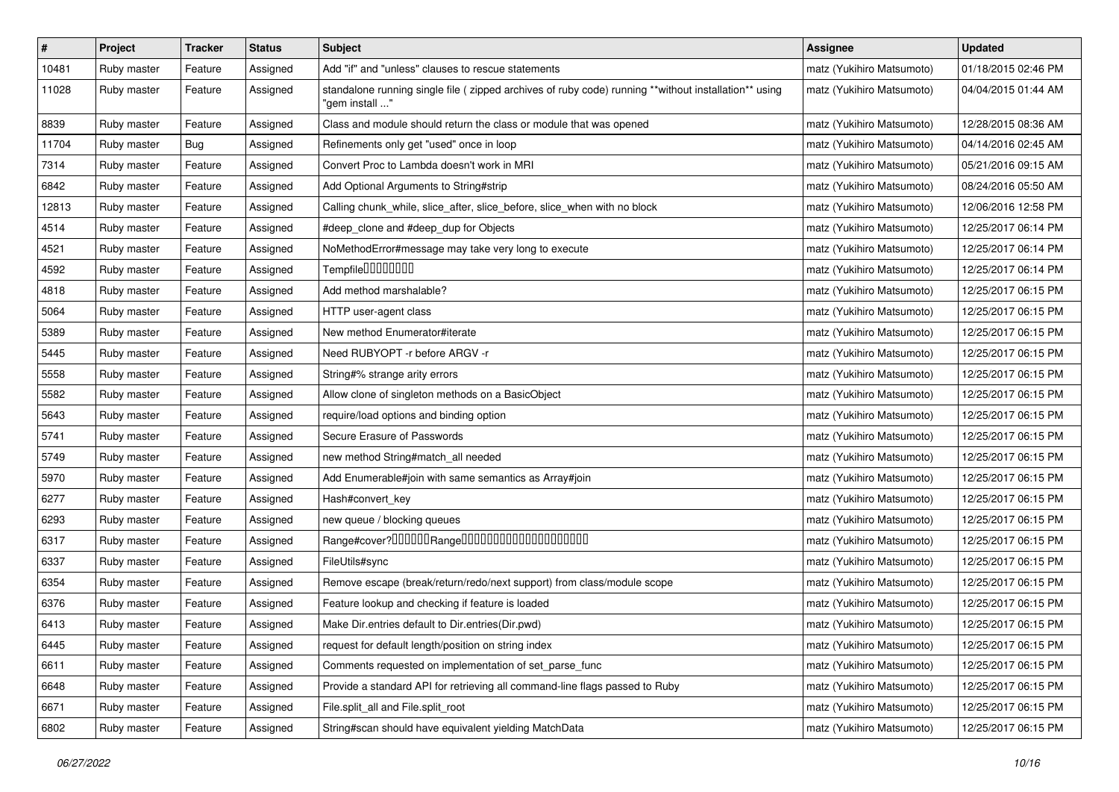| #     | Project     | <b>Tracker</b> | <b>Status</b> | Subject                                                                                                                 | <b>Assignee</b>           | <b>Updated</b>      |
|-------|-------------|----------------|---------------|-------------------------------------------------------------------------------------------------------------------------|---------------------------|---------------------|
| 10481 | Ruby master | Feature        | Assigned      | Add "if" and "unless" clauses to rescue statements                                                                      | matz (Yukihiro Matsumoto) | 01/18/2015 02:46 PM |
| 11028 | Ruby master | Feature        | Assigned      | standalone running single file ( zipped archives of ruby code) running **without installation** using<br>"gem install " | matz (Yukihiro Matsumoto) | 04/04/2015 01:44 AM |
| 8839  | Ruby master | Feature        | Assigned      | Class and module should return the class or module that was opened                                                      | matz (Yukihiro Matsumoto) | 12/28/2015 08:36 AM |
| 11704 | Ruby master | Bug            | Assigned      | Refinements only get "used" once in loop                                                                                | matz (Yukihiro Matsumoto) | 04/14/2016 02:45 AM |
| 7314  | Ruby master | Feature        | Assigned      | Convert Proc to Lambda doesn't work in MRI                                                                              | matz (Yukihiro Matsumoto) | 05/21/2016 09:15 AM |
| 6842  | Ruby master | Feature        | Assigned      | Add Optional Arguments to String#strip                                                                                  | matz (Yukihiro Matsumoto) | 08/24/2016 05:50 AM |
| 12813 | Ruby master | Feature        | Assigned      | Calling chunk_while, slice_after, slice_before, slice_when with no block                                                | matz (Yukihiro Matsumoto) | 12/06/2016 12:58 PM |
| 4514  | Ruby master | Feature        | Assigned      | #deep_clone and #deep_dup for Objects                                                                                   | matz (Yukihiro Matsumoto) | 12/25/2017 06:14 PM |
| 4521  | Ruby master | Feature        | Assigned      | NoMethodError#message may take very long to execute                                                                     | matz (Yukihiro Matsumoto) | 12/25/2017 06:14 PM |
| 4592  | Ruby master | Feature        | Assigned      | Tempfile0000000                                                                                                         | matz (Yukihiro Matsumoto) | 12/25/2017 06:14 PM |
| 4818  | Ruby master | Feature        | Assigned      | Add method marshalable?                                                                                                 | matz (Yukihiro Matsumoto) | 12/25/2017 06:15 PM |
| 5064  | Ruby master | Feature        | Assigned      | HTTP user-agent class                                                                                                   | matz (Yukihiro Matsumoto) | 12/25/2017 06:15 PM |
| 5389  | Ruby master | Feature        | Assigned      | New method Enumerator#iterate                                                                                           | matz (Yukihiro Matsumoto) | 12/25/2017 06:15 PM |
| 5445  | Ruby master | Feature        | Assigned      | Need RUBYOPT -r before ARGV -r                                                                                          | matz (Yukihiro Matsumoto) | 12/25/2017 06:15 PM |
| 5558  | Ruby master | Feature        | Assigned      | String#% strange arity errors                                                                                           | matz (Yukihiro Matsumoto) | 12/25/2017 06:15 PM |
| 5582  | Ruby master | Feature        | Assigned      | Allow clone of singleton methods on a BasicObject                                                                       | matz (Yukihiro Matsumoto) | 12/25/2017 06:15 PM |
| 5643  | Ruby master | Feature        | Assigned      | require/load options and binding option                                                                                 | matz (Yukihiro Matsumoto) | 12/25/2017 06:15 PM |
| 5741  | Ruby master | Feature        | Assigned      | Secure Erasure of Passwords                                                                                             | matz (Yukihiro Matsumoto) | 12/25/2017 06:15 PM |
| 5749  | Ruby master | Feature        | Assigned      | new method String#match_all needed                                                                                      | matz (Yukihiro Matsumoto) | 12/25/2017 06:15 PM |
| 5970  | Ruby master | Feature        | Assigned      | Add Enumerable#join with same semantics as Array#join                                                                   | matz (Yukihiro Matsumoto) | 12/25/2017 06:15 PM |
| 6277  | Ruby master | Feature        | Assigned      | Hash#convert_key                                                                                                        | matz (Yukihiro Matsumoto) | 12/25/2017 06:15 PM |
| 6293  | Ruby master | Feature        | Assigned      | new queue / blocking queues                                                                                             | matz (Yukihiro Matsumoto) | 12/25/2017 06:15 PM |
| 6317  | Ruby master | Feature        | Assigned      | Range#cover?000000Range00000000000000000000                                                                             | matz (Yukihiro Matsumoto) | 12/25/2017 06:15 PM |
| 6337  | Ruby master | Feature        | Assigned      | FileUtils#sync                                                                                                          | matz (Yukihiro Matsumoto) | 12/25/2017 06:15 PM |
| 6354  | Ruby master | Feature        | Assigned      | Remove escape (break/return/redo/next support) from class/module scope                                                  | matz (Yukihiro Matsumoto) | 12/25/2017 06:15 PM |
| 6376  | Ruby master | Feature        | Assigned      | Feature lookup and checking if feature is loaded                                                                        | matz (Yukihiro Matsumoto) | 12/25/2017 06:15 PM |
| 6413  | Ruby master | Feature        | Assigned      | Make Dir.entries default to Dir.entries(Dir.pwd)                                                                        | matz (Yukihiro Matsumoto) | 12/25/2017 06:15 PM |
| 6445  | Ruby master | Feature        | Assigned      | request for default length/position on string index                                                                     | matz (Yukihiro Matsumoto) | 12/25/2017 06:15 PM |
| 6611  | Ruby master | Feature        | Assigned      | Comments requested on implementation of set_parse_func                                                                  | matz (Yukihiro Matsumoto) | 12/25/2017 06:15 PM |
| 6648  | Ruby master | Feature        | Assigned      | Provide a standard API for retrieving all command-line flags passed to Ruby                                             | matz (Yukihiro Matsumoto) | 12/25/2017 06:15 PM |
| 6671  | Ruby master | Feature        | Assigned      | File.split all and File.split root                                                                                      | matz (Yukihiro Matsumoto) | 12/25/2017 06:15 PM |
| 6802  | Ruby master | Feature        | Assigned      | String#scan should have equivalent yielding MatchData                                                                   | matz (Yukihiro Matsumoto) | 12/25/2017 06:15 PM |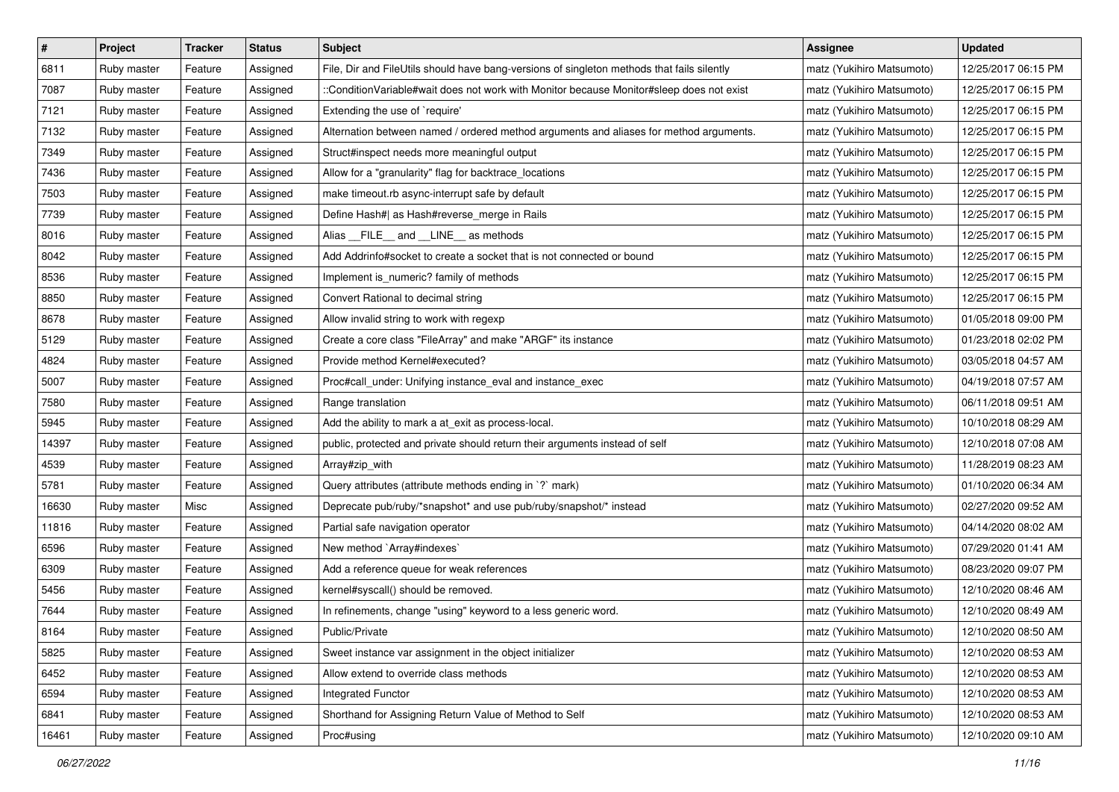| $\#$  | Project     | <b>Tracker</b> | <b>Status</b> | Subject                                                                                    | Assignee                  | <b>Updated</b>      |
|-------|-------------|----------------|---------------|--------------------------------------------------------------------------------------------|---------------------------|---------------------|
| 6811  | Ruby master | Feature        | Assigned      | File, Dir and FileUtils should have bang-versions of singleton methods that fails silently | matz (Yukihiro Matsumoto) | 12/25/2017 06:15 PM |
| 7087  | Ruby master | Feature        | Assigned      | :ConditionVariable#wait does not work with Monitor because Monitor#sleep does not exist    | matz (Yukihiro Matsumoto) | 12/25/2017 06:15 PM |
| 7121  | Ruby master | Feature        | Assigned      | Extending the use of `require'                                                             | matz (Yukihiro Matsumoto) | 12/25/2017 06:15 PM |
| 7132  | Ruby master | Feature        | Assigned      | Alternation between named / ordered method arguments and aliases for method arguments.     | matz (Yukihiro Matsumoto) | 12/25/2017 06:15 PM |
| 7349  | Ruby master | Feature        | Assigned      | Struct#inspect needs more meaningful output                                                | matz (Yukihiro Matsumoto) | 12/25/2017 06:15 PM |
| 7436  | Ruby master | Feature        | Assigned      | Allow for a "granularity" flag for backtrace_locations                                     | matz (Yukihiro Matsumoto) | 12/25/2017 06:15 PM |
| 7503  | Ruby master | Feature        | Assigned      | make timeout.rb async-interrupt safe by default                                            | matz (Yukihiro Matsumoto) | 12/25/2017 06:15 PM |
| 7739  | Ruby master | Feature        | Assigned      | Define Hash#  as Hash#reverse_merge in Rails                                               | matz (Yukihiro Matsumoto) | 12/25/2017 06:15 PM |
| 8016  | Ruby master | Feature        | Assigned      | Alias __FILE__ and __LINE__ as methods                                                     | matz (Yukihiro Matsumoto) | 12/25/2017 06:15 PM |
| 8042  | Ruby master | Feature        | Assigned      | Add Addrinfo#socket to create a socket that is not connected or bound                      | matz (Yukihiro Matsumoto) | 12/25/2017 06:15 PM |
| 8536  | Ruby master | Feature        | Assigned      | Implement is_numeric? family of methods                                                    | matz (Yukihiro Matsumoto) | 12/25/2017 06:15 PM |
| 8850  | Ruby master | Feature        | Assigned      | Convert Rational to decimal string                                                         | matz (Yukihiro Matsumoto) | 12/25/2017 06:15 PM |
| 8678  | Ruby master | Feature        | Assigned      | Allow invalid string to work with regexp                                                   | matz (Yukihiro Matsumoto) | 01/05/2018 09:00 PM |
| 5129  | Ruby master | Feature        | Assigned      | Create a core class "FileArray" and make "ARGF" its instance                               | matz (Yukihiro Matsumoto) | 01/23/2018 02:02 PM |
| 4824  | Ruby master | Feature        | Assigned      | Provide method Kernel#executed?                                                            | matz (Yukihiro Matsumoto) | 03/05/2018 04:57 AM |
| 5007  | Ruby master | Feature        | Assigned      | Proc#call_under: Unifying instance_eval and instance_exec                                  | matz (Yukihiro Matsumoto) | 04/19/2018 07:57 AM |
| 7580  | Ruby master | Feature        | Assigned      | Range translation                                                                          | matz (Yukihiro Matsumoto) | 06/11/2018 09:51 AM |
| 5945  | Ruby master | Feature        | Assigned      | Add the ability to mark a at_exit as process-local.                                        | matz (Yukihiro Matsumoto) | 10/10/2018 08:29 AM |
| 14397 | Ruby master | Feature        | Assigned      | public, protected and private should return their arguments instead of self                | matz (Yukihiro Matsumoto) | 12/10/2018 07:08 AM |
| 4539  | Ruby master | Feature        | Assigned      | Array#zip_with                                                                             | matz (Yukihiro Matsumoto) | 11/28/2019 08:23 AM |
| 5781  | Ruby master | Feature        | Assigned      | Query attributes (attribute methods ending in `?` mark)                                    | matz (Yukihiro Matsumoto) | 01/10/2020 06:34 AM |
| 16630 | Ruby master | Misc           | Assigned      | Deprecate pub/ruby/*snapshot* and use pub/ruby/snapshot/* instead                          | matz (Yukihiro Matsumoto) | 02/27/2020 09:52 AM |
| 11816 | Ruby master | Feature        | Assigned      | Partial safe navigation operator                                                           | matz (Yukihiro Matsumoto) | 04/14/2020 08:02 AM |
| 6596  | Ruby master | Feature        | Assigned      | New method `Array#indexes`                                                                 | matz (Yukihiro Matsumoto) | 07/29/2020 01:41 AM |
| 6309  | Ruby master | Feature        | Assigned      | Add a reference queue for weak references                                                  | matz (Yukihiro Matsumoto) | 08/23/2020 09:07 PM |
| 5456  | Ruby master | Feature        | Assigned      | kernel#syscall() should be removed.                                                        | matz (Yukihiro Matsumoto) | 12/10/2020 08:46 AM |
| 7644  | Ruby master | Feature        | Assigned      | In refinements, change "using" keyword to a less generic word.                             | matz (Yukihiro Matsumoto) | 12/10/2020 08:49 AM |
| 8164  | Ruby master | Feature        | Assigned      | Public/Private                                                                             | matz (Yukihiro Matsumoto) | 12/10/2020 08:50 AM |
| 5825  | Ruby master | Feature        | Assigned      | Sweet instance var assignment in the object initializer                                    | matz (Yukihiro Matsumoto) | 12/10/2020 08:53 AM |
| 6452  | Ruby master | Feature        | Assigned      | Allow extend to override class methods                                                     | matz (Yukihiro Matsumoto) | 12/10/2020 08:53 AM |
| 6594  | Ruby master | Feature        | Assigned      | Integrated Functor                                                                         | matz (Yukihiro Matsumoto) | 12/10/2020 08:53 AM |
| 6841  | Ruby master | Feature        | Assigned      | Shorthand for Assigning Return Value of Method to Self                                     | matz (Yukihiro Matsumoto) | 12/10/2020 08:53 AM |
| 16461 | Ruby master | Feature        | Assigned      | Proc#using                                                                                 | matz (Yukihiro Matsumoto) | 12/10/2020 09:10 AM |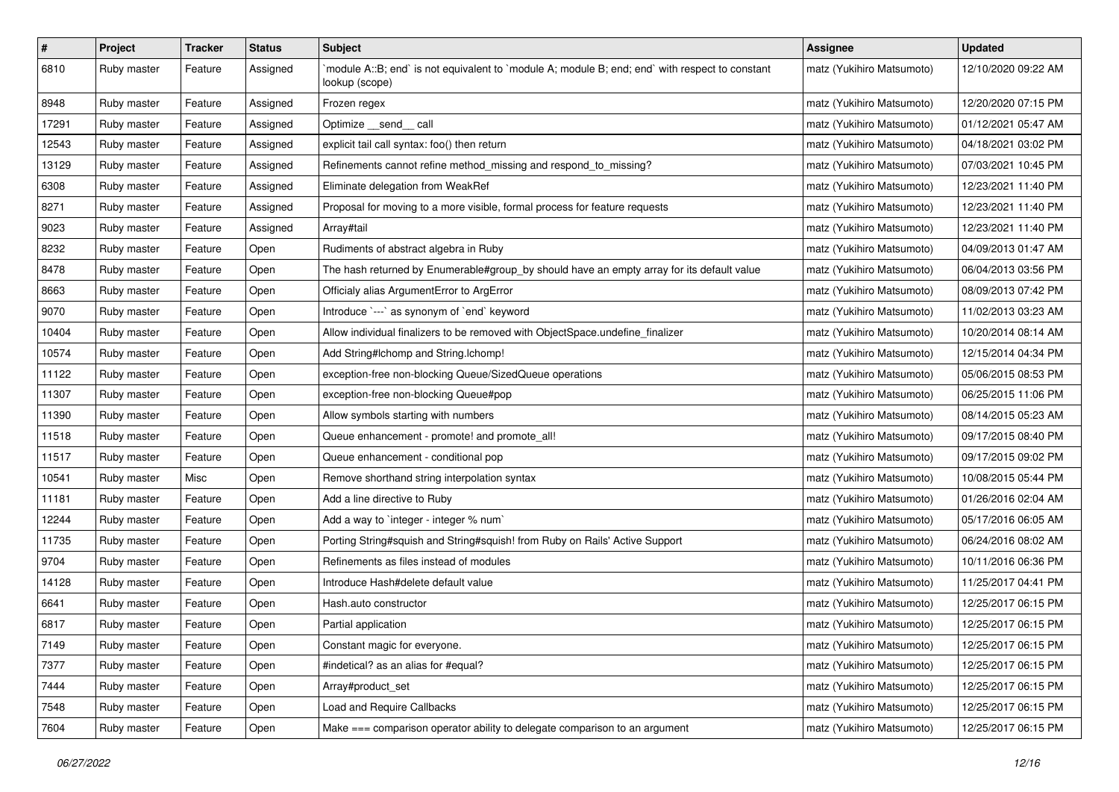| $\#$  | Project     | <b>Tracker</b> | <b>Status</b> | <b>Subject</b>                                                                                                   | <b>Assignee</b>           | <b>Updated</b>      |
|-------|-------------|----------------|---------------|------------------------------------------------------------------------------------------------------------------|---------------------------|---------------------|
| 6810  | Ruby master | Feature        | Assigned      | module A::B; end` is not equivalent to `module A; module B; end; end` with respect to constant<br>lookup (scope) | matz (Yukihiro Matsumoto) | 12/10/2020 09:22 AM |
| 8948  | Ruby master | Feature        | Assigned      | Frozen regex                                                                                                     | matz (Yukihiro Matsumoto) | 12/20/2020 07:15 PM |
| 17291 | Ruby master | Feature        | Assigned      | Optimize __send__ call                                                                                           | matz (Yukihiro Matsumoto) | 01/12/2021 05:47 AM |
| 12543 | Ruby master | Feature        | Assigned      | explicit tail call syntax: foo() then return                                                                     | matz (Yukihiro Matsumoto) | 04/18/2021 03:02 PM |
| 13129 | Ruby master | Feature        | Assigned      | Refinements cannot refine method_missing and respond_to_missing?                                                 | matz (Yukihiro Matsumoto) | 07/03/2021 10:45 PM |
| 6308  | Ruby master | Feature        | Assigned      | Eliminate delegation from WeakRef                                                                                | matz (Yukihiro Matsumoto) | 12/23/2021 11:40 PM |
| 8271  | Ruby master | Feature        | Assigned      | Proposal for moving to a more visible, formal process for feature requests                                       | matz (Yukihiro Matsumoto) | 12/23/2021 11:40 PM |
| 9023  | Ruby master | Feature        | Assigned      | Array#tail                                                                                                       | matz (Yukihiro Matsumoto) | 12/23/2021 11:40 PM |
| 8232  | Ruby master | Feature        | Open          | Rudiments of abstract algebra in Ruby                                                                            | matz (Yukihiro Matsumoto) | 04/09/2013 01:47 AM |
| 8478  | Ruby master | Feature        | Open          | The hash returned by Enumerable#group_by should have an empty array for its default value                        | matz (Yukihiro Matsumoto) | 06/04/2013 03:56 PM |
| 8663  | Ruby master | Feature        | Open          | Officialy alias ArgumentError to ArgError                                                                        | matz (Yukihiro Matsumoto) | 08/09/2013 07:42 PM |
| 9070  | Ruby master | Feature        | Open          | Introduce `---` as synonym of `end` keyword                                                                      | matz (Yukihiro Matsumoto) | 11/02/2013 03:23 AM |
| 10404 | Ruby master | Feature        | Open          | Allow individual finalizers to be removed with ObjectSpace.undefine_finalizer                                    | matz (Yukihiro Matsumoto) | 10/20/2014 08:14 AM |
| 10574 | Ruby master | Feature        | Open          | Add String#Ichomp and String.Ichomp!                                                                             | matz (Yukihiro Matsumoto) | 12/15/2014 04:34 PM |
| 11122 | Ruby master | Feature        | Open          | exception-free non-blocking Queue/SizedQueue operations                                                          | matz (Yukihiro Matsumoto) | 05/06/2015 08:53 PM |
| 11307 | Ruby master | Feature        | Open          | exception-free non-blocking Queue#pop                                                                            | matz (Yukihiro Matsumoto) | 06/25/2015 11:06 PM |
| 11390 | Ruby master | Feature        | Open          | Allow symbols starting with numbers                                                                              | matz (Yukihiro Matsumoto) | 08/14/2015 05:23 AM |
| 11518 | Ruby master | Feature        | Open          | Queue enhancement - promote! and promote all!                                                                    | matz (Yukihiro Matsumoto) | 09/17/2015 08:40 PM |
| 11517 | Ruby master | Feature        | Open          | Queue enhancement - conditional pop                                                                              | matz (Yukihiro Matsumoto) | 09/17/2015 09:02 PM |
| 10541 | Ruby master | Misc           | Open          | Remove shorthand string interpolation syntax                                                                     | matz (Yukihiro Matsumoto) | 10/08/2015 05:44 PM |
| 11181 | Ruby master | Feature        | Open          | Add a line directive to Ruby                                                                                     | matz (Yukihiro Matsumoto) | 01/26/2016 02:04 AM |
| 12244 | Ruby master | Feature        | Open          | Add a way to `integer - integer % num`                                                                           | matz (Yukihiro Matsumoto) | 05/17/2016 06:05 AM |
| 11735 | Ruby master | Feature        | Open          | Porting String#squish and String#squish! from Ruby on Rails' Active Support                                      | matz (Yukihiro Matsumoto) | 06/24/2016 08:02 AM |
| 9704  | Ruby master | Feature        | Open          | Refinements as files instead of modules                                                                          | matz (Yukihiro Matsumoto) | 10/11/2016 06:36 PM |
| 14128 | Ruby master | Feature        | Open          | Introduce Hash#delete default value                                                                              | matz (Yukihiro Matsumoto) | 11/25/2017 04:41 PM |
| 6641  | Ruby master | Feature        | Open          | Hash.auto constructor                                                                                            | matz (Yukihiro Matsumoto) | 12/25/2017 06:15 PM |
| 6817  | Ruby master | Feature        | Open          | Partial application                                                                                              | matz (Yukihiro Matsumoto) | 12/25/2017 06:15 PM |
| 7149  | Ruby master | Feature        | Open          | Constant magic for everyone.                                                                                     | matz (Yukihiro Matsumoto) | 12/25/2017 06:15 PM |
| 7377  | Ruby master | Feature        | Open          | #indetical? as an alias for #equal?                                                                              | matz (Yukihiro Matsumoto) | 12/25/2017 06:15 PM |
| 7444  | Ruby master | Feature        | Open          | Array#product_set                                                                                                | matz (Yukihiro Matsumoto) | 12/25/2017 06:15 PM |
| 7548  | Ruby master | Feature        | Open          | Load and Require Callbacks                                                                                       | matz (Yukihiro Matsumoto) | 12/25/2017 06:15 PM |
| 7604  | Ruby master | Feature        | Open          | Make === comparison operator ability to delegate comparison to an argument                                       | matz (Yukihiro Matsumoto) | 12/25/2017 06:15 PM |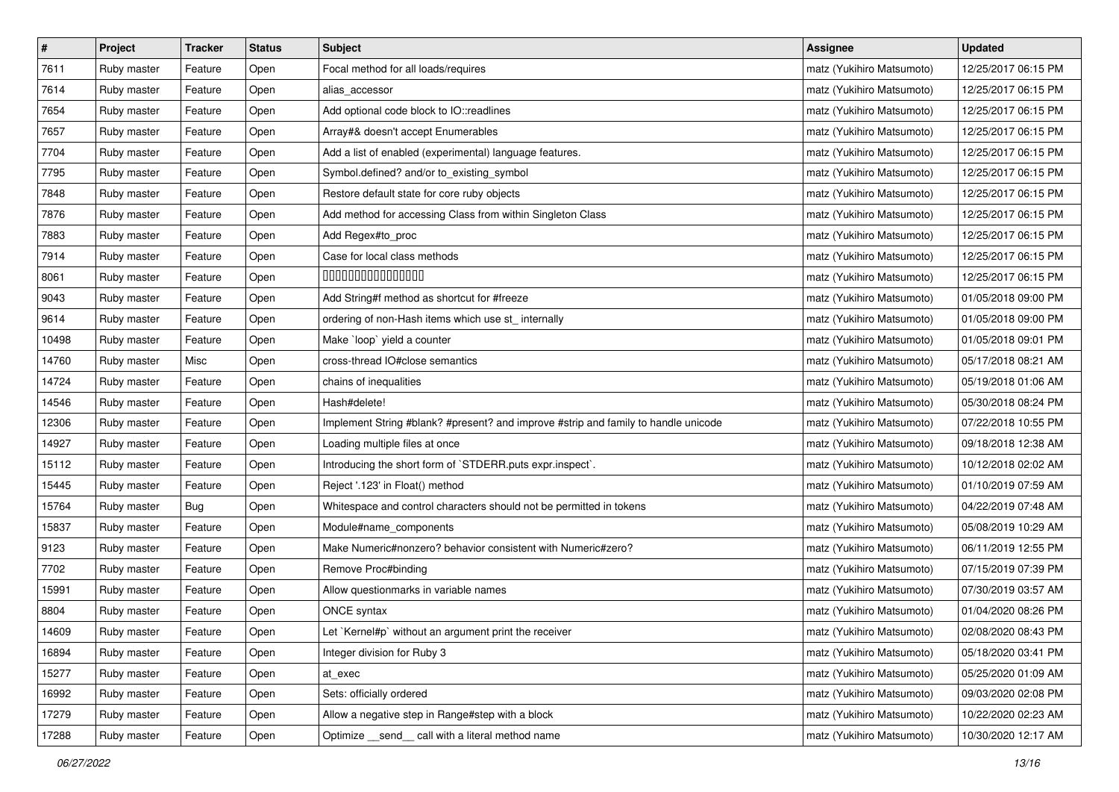| $\pmb{\#}$ | Project     | <b>Tracker</b> | <b>Status</b> | Subject                                                                            | <b>Assignee</b>           | <b>Updated</b>      |
|------------|-------------|----------------|---------------|------------------------------------------------------------------------------------|---------------------------|---------------------|
| 7611       | Ruby master | Feature        | Open          | Focal method for all loads/requires                                                | matz (Yukihiro Matsumoto) | 12/25/2017 06:15 PM |
| 7614       | Ruby master | Feature        | Open          | alias_accessor                                                                     | matz (Yukihiro Matsumoto) | 12/25/2017 06:15 PM |
| 7654       | Ruby master | Feature        | Open          | Add optional code block to IO::readlines                                           | matz (Yukihiro Matsumoto) | 12/25/2017 06:15 PM |
| 7657       | Ruby master | Feature        | Open          | Array#& doesn't accept Enumerables                                                 | matz (Yukihiro Matsumoto) | 12/25/2017 06:15 PM |
| 7704       | Ruby master | Feature        | Open          | Add a list of enabled (experimental) language features.                            | matz (Yukihiro Matsumoto) | 12/25/2017 06:15 PM |
| 7795       | Ruby master | Feature        | Open          | Symbol.defined? and/or to_existing_symbol                                          | matz (Yukihiro Matsumoto) | 12/25/2017 06:15 PM |
| 7848       | Ruby master | Feature        | Open          | Restore default state for core ruby objects                                        | matz (Yukihiro Matsumoto) | 12/25/2017 06:15 PM |
| 7876       | Ruby master | Feature        | Open          | Add method for accessing Class from within Singleton Class                         | matz (Yukihiro Matsumoto) | 12/25/2017 06:15 PM |
| 7883       | Ruby master | Feature        | Open          | Add Regex#to_proc                                                                  | matz (Yukihiro Matsumoto) | 12/25/2017 06:15 PM |
| 7914       | Ruby master | Feature        | Open          | Case for local class methods                                                       | matz (Yukihiro Matsumoto) | 12/25/2017 06:15 PM |
| 8061       | Ruby master | Feature        | Open          | 000000000000000                                                                    | matz (Yukihiro Matsumoto) | 12/25/2017 06:15 PM |
| 9043       | Ruby master | Feature        | Open          | Add String#f method as shortcut for #freeze                                        | matz (Yukihiro Matsumoto) | 01/05/2018 09:00 PM |
| 9614       | Ruby master | Feature        | Open          | ordering of non-Hash items which use st_ internally                                | matz (Yukihiro Matsumoto) | 01/05/2018 09:00 PM |
| 10498      | Ruby master | Feature        | Open          | Make `loop` yield a counter                                                        | matz (Yukihiro Matsumoto) | 01/05/2018 09:01 PM |
| 14760      | Ruby master | Misc           | Open          | cross-thread IO#close semantics                                                    | matz (Yukihiro Matsumoto) | 05/17/2018 08:21 AM |
| 14724      | Ruby master | Feature        | Open          | chains of inequalities                                                             | matz (Yukihiro Matsumoto) | 05/19/2018 01:06 AM |
| 14546      | Ruby master | Feature        | Open          | Hash#delete!                                                                       | matz (Yukihiro Matsumoto) | 05/30/2018 08:24 PM |
| 12306      | Ruby master | Feature        | Open          | Implement String #blank? #present? and improve #strip and family to handle unicode | matz (Yukihiro Matsumoto) | 07/22/2018 10:55 PM |
| 14927      | Ruby master | Feature        | Open          | Loading multiple files at once                                                     | matz (Yukihiro Matsumoto) | 09/18/2018 12:38 AM |
| 15112      | Ruby master | Feature        | Open          | Introducing the short form of `STDERR.puts expr.inspect`.                          | matz (Yukihiro Matsumoto) | 10/12/2018 02:02 AM |
| 15445      | Ruby master | Feature        | Open          | Reject '.123' in Float() method                                                    | matz (Yukihiro Matsumoto) | 01/10/2019 07:59 AM |
| 15764      | Ruby master | <b>Bug</b>     | Open          | Whitespace and control characters should not be permitted in tokens                | matz (Yukihiro Matsumoto) | 04/22/2019 07:48 AM |
| 15837      | Ruby master | Feature        | Open          | Module#name_components                                                             | matz (Yukihiro Matsumoto) | 05/08/2019 10:29 AM |
| 9123       | Ruby master | Feature        | Open          | Make Numeric#nonzero? behavior consistent with Numeric#zero?                       | matz (Yukihiro Matsumoto) | 06/11/2019 12:55 PM |
| 7702       | Ruby master | Feature        | Open          | Remove Proc#binding                                                                | matz (Yukihiro Matsumoto) | 07/15/2019 07:39 PM |
| 15991      | Ruby master | Feature        | Open          | Allow questionmarks in variable names                                              | matz (Yukihiro Matsumoto) | 07/30/2019 03:57 AM |
| 8804       | Ruby master | Feature        | Open          | ONCE syntax                                                                        | matz (Yukihiro Matsumoto) | 01/04/2020 08:26 PM |
| 14609      | Ruby master | Feature        | Open          | Let `Kernel#p` without an argument print the receiver                              | matz (Yukihiro Matsumoto) | 02/08/2020 08:43 PM |
| 16894      | Ruby master | Feature        | Open          | Integer division for Ruby 3                                                        | matz (Yukihiro Matsumoto) | 05/18/2020 03:41 PM |
| 15277      | Ruby master | Feature        | Open          | at exec                                                                            | matz (Yukihiro Matsumoto) | 05/25/2020 01:09 AM |
| 16992      | Ruby master | Feature        | Open          | Sets: officially ordered                                                           | matz (Yukihiro Matsumoto) | 09/03/2020 02:08 PM |
| 17279      | Ruby master | Feature        | Open          | Allow a negative step in Range#step with a block                                   | matz (Yukihiro Matsumoto) | 10/22/2020 02:23 AM |
| 17288      | Ruby master | Feature        | Open          | Optimize _send_call with a literal method name                                     | matz (Yukihiro Matsumoto) | 10/30/2020 12:17 AM |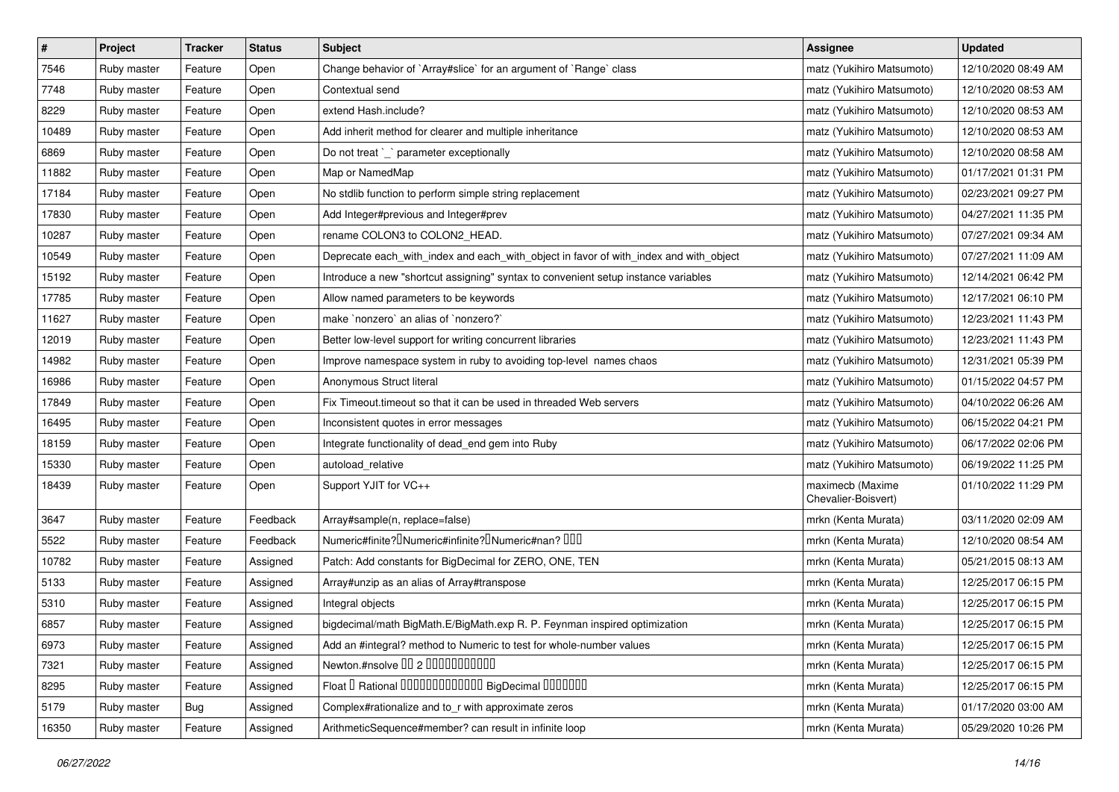| $\sharp$ | Project     | <b>Tracker</b> | <b>Status</b> | <b>Subject</b>                                                                        | <b>Assignee</b>                         | <b>Updated</b>      |
|----------|-------------|----------------|---------------|---------------------------------------------------------------------------------------|-----------------------------------------|---------------------|
| 7546     | Ruby master | Feature        | Open          | Change behavior of `Array#slice` for an argument of `Range` class                     | matz (Yukihiro Matsumoto)               | 12/10/2020 08:49 AM |
| 7748     | Ruby master | Feature        | Open          | Contextual send                                                                       | matz (Yukihiro Matsumoto)               | 12/10/2020 08:53 AM |
| 8229     | Ruby master | Feature        | Open          | extend Hash.include?                                                                  | matz (Yukihiro Matsumoto)               | 12/10/2020 08:53 AM |
| 10489    | Ruby master | Feature        | Open          | Add inherit method for clearer and multiple inheritance                               | matz (Yukihiro Matsumoto)               | 12/10/2020 08:53 AM |
| 6869     | Ruby master | Feature        | Open          | Do not treat `_` parameter exceptionally                                              | matz (Yukihiro Matsumoto)               | 12/10/2020 08:58 AM |
| 11882    | Ruby master | Feature        | Open          | Map or NamedMap                                                                       | matz (Yukihiro Matsumoto)               | 01/17/2021 01:31 PM |
| 17184    | Ruby master | Feature        | Open          | No stdlib function to perform simple string replacement                               | matz (Yukihiro Matsumoto)               | 02/23/2021 09:27 PM |
| 17830    | Ruby master | Feature        | Open          | Add Integer#previous and Integer#prev                                                 | matz (Yukihiro Matsumoto)               | 04/27/2021 11:35 PM |
| 10287    | Ruby master | Feature        | Open          | rename COLON3 to COLON2_HEAD.                                                         | matz (Yukihiro Matsumoto)               | 07/27/2021 09:34 AM |
| 10549    | Ruby master | Feature        | Open          | Deprecate each_with_index and each_with_object in favor of with_index and with_object | matz (Yukihiro Matsumoto)               | 07/27/2021 11:09 AM |
| 15192    | Ruby master | Feature        | Open          | Introduce a new "shortcut assigning" syntax to convenient setup instance variables    | matz (Yukihiro Matsumoto)               | 12/14/2021 06:42 PM |
| 17785    | Ruby master | Feature        | Open          | Allow named parameters to be keywords                                                 | matz (Yukihiro Matsumoto)               | 12/17/2021 06:10 PM |
| 11627    | Ruby master | Feature        | Open          | make `nonzero` an alias of `nonzero?`                                                 | matz (Yukihiro Matsumoto)               | 12/23/2021 11:43 PM |
| 12019    | Ruby master | Feature        | Open          | Better low-level support for writing concurrent libraries                             | matz (Yukihiro Matsumoto)               | 12/23/2021 11:43 PM |
| 14982    | Ruby master | Feature        | Open          | Improve namespace system in ruby to avoiding top-level names chaos                    | matz (Yukihiro Matsumoto)               | 12/31/2021 05:39 PM |
| 16986    | Ruby master | Feature        | Open          | Anonymous Struct literal                                                              | matz (Yukihiro Matsumoto)               | 01/15/2022 04:57 PM |
| 17849    | Ruby master | Feature        | Open          | Fix Timeout timeout so that it can be used in threaded Web servers                    | matz (Yukihiro Matsumoto)               | 04/10/2022 06:26 AM |
| 16495    | Ruby master | Feature        | Open          | Inconsistent quotes in error messages                                                 | matz (Yukihiro Matsumoto)               | 06/15/2022 04:21 PM |
| 18159    | Ruby master | Feature        | Open          | Integrate functionality of dead_end gem into Ruby                                     | matz (Yukihiro Matsumoto)               | 06/17/2022 02:06 PM |
| 15330    | Ruby master | Feature        | Open          | autoload_relative                                                                     | matz (Yukihiro Matsumoto)               | 06/19/2022 11:25 PM |
| 18439    | Ruby master | Feature        | Open          | Support YJIT for VC++                                                                 | maximecb (Maxime<br>Chevalier-Boisvert) | 01/10/2022 11:29 PM |
| 3647     | Ruby master | Feature        | Feedback      | Array#sample(n, replace=false)                                                        | mrkn (Kenta Murata)                     | 03/11/2020 02:09 AM |
| 5522     | Ruby master | Feature        | Feedback      | Numeric#finite? INumeric#infinite? INumeric#nan? IIII                                 | mrkn (Kenta Murata)                     | 12/10/2020 08:54 AM |
| 10782    | Ruby master | Feature        | Assigned      | Patch: Add constants for BigDecimal for ZERO, ONE, TEN                                | mrkn (Kenta Murata)                     | 05/21/2015 08:13 AM |
| 5133     | Ruby master | Feature        | Assigned      | Array#unzip as an alias of Array#transpose                                            | mrkn (Kenta Murata)                     | 12/25/2017 06:15 PM |
| 5310     | Ruby master | Feature        | Assigned      | Integral objects                                                                      | mrkn (Kenta Murata)                     | 12/25/2017 06:15 PM |
| 6857     | Ruby master | Feature        | Assigned      | bigdecimal/math BigMath.E/BigMath.exp R. P. Feynman inspired optimization             | mrkn (Kenta Murata)                     | 12/25/2017 06:15 PM |
| 6973     | Ruby master | Feature        | Assigned      | Add an #integral? method to Numeric to test for whole-number values                   | mrkn (Kenta Murata)                     | 12/25/2017 06:15 PM |
| 7321     | Ruby master | Feature        | Assigned      | Newton.#nsolve 00 2 0000000000                                                        | mrkn (Kenta Murata)                     | 12/25/2017 06:15 PM |
| 8295     | Ruby master | Feature        | Assigned      | Float I Rational IIIIIIIIIIIIIIIIIII BigDecimal IIIIIIIIII                            | mrkn (Kenta Murata)                     | 12/25/2017 06:15 PM |
| 5179     | Ruby master | Bug            | Assigned      | Complex#rationalize and to r with approximate zeros                                   | mrkn (Kenta Murata)                     | 01/17/2020 03:00 AM |
| 16350    | Ruby master | Feature        | Assigned      | ArithmeticSequence#member? can result in infinite loop                                | mrkn (Kenta Murata)                     | 05/29/2020 10:26 PM |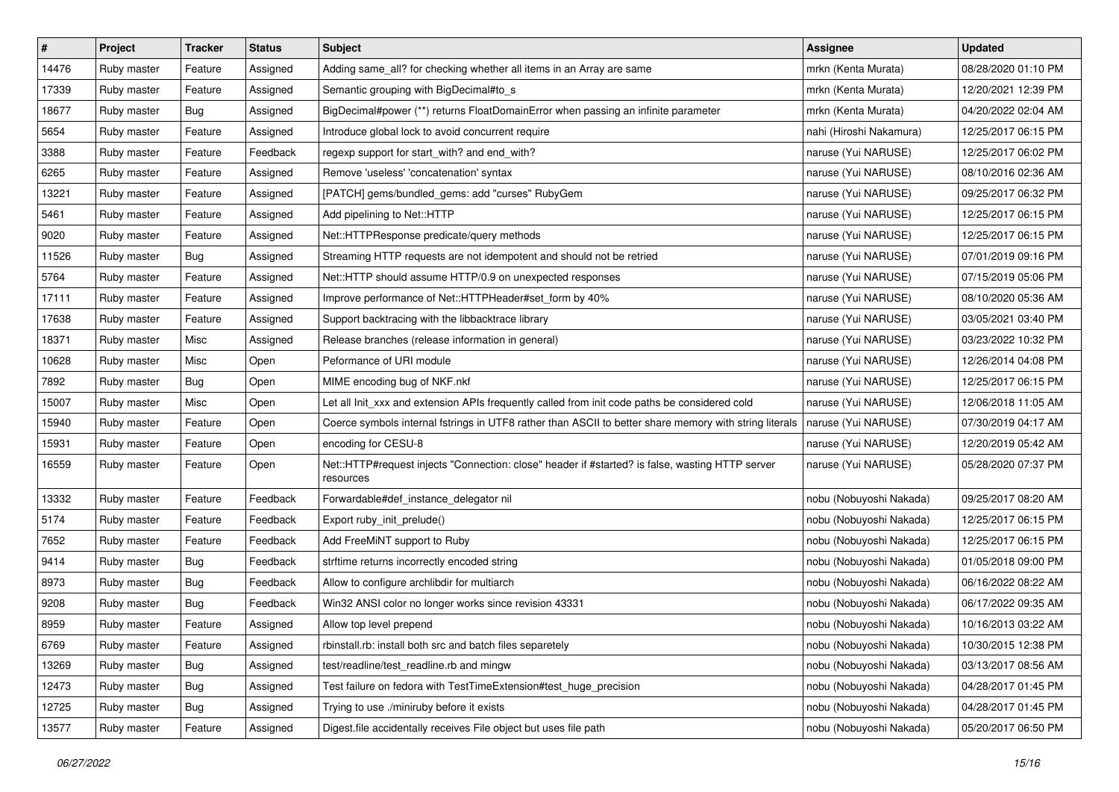| $\pmb{\#}$ | Project     | <b>Tracker</b> | <b>Status</b> | Subject                                                                                                      | <b>Assignee</b>         | <b>Updated</b>      |
|------------|-------------|----------------|---------------|--------------------------------------------------------------------------------------------------------------|-------------------------|---------------------|
| 14476      | Ruby master | Feature        | Assigned      | Adding same_all? for checking whether all items in an Array are same                                         | mrkn (Kenta Murata)     | 08/28/2020 01:10 PM |
| 17339      | Ruby master | Feature        | Assigned      | Semantic grouping with BigDecimal#to_s                                                                       | mrkn (Kenta Murata)     | 12/20/2021 12:39 PM |
| 18677      | Ruby master | Bug            | Assigned      | BigDecimal#power (**) returns FloatDomainError when passing an infinite parameter                            | mrkn (Kenta Murata)     | 04/20/2022 02:04 AM |
| 5654       | Ruby master | Feature        | Assigned      | Introduce global lock to avoid concurrent require                                                            | nahi (Hiroshi Nakamura) | 12/25/2017 06:15 PM |
| 3388       | Ruby master | Feature        | Feedback      | regexp support for start_with? and end_with?                                                                 | naruse (Yui NARUSE)     | 12/25/2017 06:02 PM |
| 6265       | Ruby master | Feature        | Assigned      | Remove 'useless' 'concatenation' syntax                                                                      | naruse (Yui NARUSE)     | 08/10/2016 02:36 AM |
| 13221      | Ruby master | Feature        | Assigned      | [PATCH] gems/bundled_gems: add "curses" RubyGem                                                              | naruse (Yui NARUSE)     | 09/25/2017 06:32 PM |
| 5461       | Ruby master | Feature        | Assigned      | Add pipelining to Net::HTTP                                                                                  | naruse (Yui NARUSE)     | 12/25/2017 06:15 PM |
| 9020       | Ruby master | Feature        | Assigned      | Net::HTTPResponse predicate/query methods                                                                    | naruse (Yui NARUSE)     | 12/25/2017 06:15 PM |
| 11526      | Ruby master | Bug            | Assigned      | Streaming HTTP requests are not idempotent and should not be retried                                         | naruse (Yui NARUSE)     | 07/01/2019 09:16 PM |
| 5764       | Ruby master | Feature        | Assigned      | Net::HTTP should assume HTTP/0.9 on unexpected responses                                                     | naruse (Yui NARUSE)     | 07/15/2019 05:06 PM |
| 17111      | Ruby master | Feature        | Assigned      | Improve performance of Net::HTTPHeader#set_form by 40%                                                       | naruse (Yui NARUSE)     | 08/10/2020 05:36 AM |
| 17638      | Ruby master | Feature        | Assigned      | Support backtracing with the libbacktrace library                                                            | naruse (Yui NARUSE)     | 03/05/2021 03:40 PM |
| 18371      | Ruby master | Misc           | Assigned      | Release branches (release information in general)                                                            | naruse (Yui NARUSE)     | 03/23/2022 10:32 PM |
| 10628      | Ruby master | Misc           | Open          | Peformance of URI module                                                                                     | naruse (Yui NARUSE)     | 12/26/2014 04:08 PM |
| 7892       | Ruby master | Bug            | Open          | MIME encoding bug of NKF.nkf                                                                                 | naruse (Yui NARUSE)     | 12/25/2017 06:15 PM |
| 15007      | Ruby master | Misc           | Open          | Let all Init_xxx and extension APIs frequently called from init code paths be considered cold                | naruse (Yui NARUSE)     | 12/06/2018 11:05 AM |
| 15940      | Ruby master | Feature        | Open          | Coerce symbols internal fstrings in UTF8 rather than ASCII to better share memory with string literals       | naruse (Yui NARUSE)     | 07/30/2019 04:17 AM |
| 15931      | Ruby master | Feature        | Open          | encoding for CESU-8                                                                                          | naruse (Yui NARUSE)     | 12/20/2019 05:42 AM |
| 16559      | Ruby master | Feature        | Open          | Net::HTTP#request injects "Connection: close" header if #started? is false, wasting HTTP server<br>resources | naruse (Yui NARUSE)     | 05/28/2020 07:37 PM |
| 13332      | Ruby master | Feature        | Feedback      | Forwardable#def_instance_delegator nil                                                                       | nobu (Nobuyoshi Nakada) | 09/25/2017 08:20 AM |
| 5174       | Ruby master | Feature        | Feedback      | Export ruby_init_prelude()                                                                                   | nobu (Nobuyoshi Nakada) | 12/25/2017 06:15 PM |
| 7652       | Ruby master | Feature        | Feedback      | Add FreeMiNT support to Ruby                                                                                 | nobu (Nobuyoshi Nakada) | 12/25/2017 06:15 PM |
| 9414       | Ruby master | <b>Bug</b>     | Feedback      | strftime returns incorrectly encoded string                                                                  | nobu (Nobuyoshi Nakada) | 01/05/2018 09:00 PM |
| 8973       | Ruby master | Bug            | Feedback      | Allow to configure archlibdir for multiarch                                                                  | nobu (Nobuyoshi Nakada) | 06/16/2022 08:22 AM |
| 9208       | Ruby master | <b>Bug</b>     | Feedback      | Win32 ANSI color no longer works since revision 43331                                                        | nobu (Nobuyoshi Nakada) | 06/17/2022 09:35 AM |
| 8959       | Ruby master | Feature        | Assigned      | Allow top level prepend                                                                                      | nobu (Nobuyoshi Nakada) | 10/16/2013 03:22 AM |
| 6769       | Ruby master | Feature        | Assigned      | rbinstall.rb: install both src and batch files separetely                                                    | nobu (Nobuyoshi Nakada) | 10/30/2015 12:38 PM |
| 13269      | Ruby master | <b>Bug</b>     | Assigned      | test/readline/test_readline.rb and mingw                                                                     | nobu (Nobuyoshi Nakada) | 03/13/2017 08:56 AM |
| 12473      | Ruby master | Bug            | Assigned      | Test failure on fedora with TestTimeExtension#test_huge_precision                                            | nobu (Nobuyoshi Nakada) | 04/28/2017 01:45 PM |
| 12725      | Ruby master | Bug            | Assigned      | Trying to use ./miniruby before it exists                                                                    | nobu (Nobuyoshi Nakada) | 04/28/2017 01:45 PM |
| 13577      | Ruby master | Feature        | Assigned      | Digest file accidentally receives File object but uses file path                                             | nobu (Nobuyoshi Nakada) | 05/20/2017 06:50 PM |